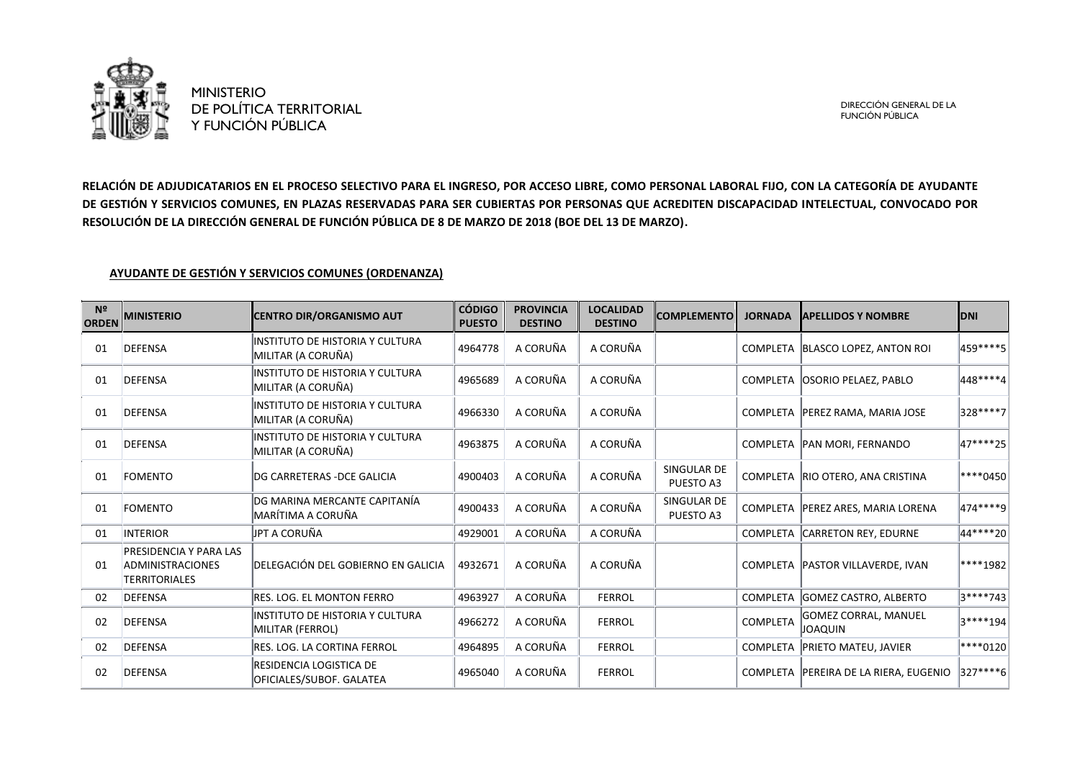

DIRECCIÓN GENERAL DE LA FUNCIÓN PÚBLICA

**RELACIÓN DE ADJUDICATARIOS EN EL PROCESO SELECTIVO PARA EL INGRESO, POR ACCESO LIBRE, COMO PERSONAL LABORAL FIJO, CON LA CATEGORÍA DE AYUDANTE DE GESTIÓN Y SERVICIOS COMUNES, EN PLAZAS RESERVADAS PARA SER CUBIERTAS POR PERSONAS QUE ACREDITEN DISCAPACIDAD INTELECTUAL, CONVOCADO POR RESOLUCIÓN DE LA DIRECCIÓN GENERAL DE FUNCIÓN PÚBLICA DE 8 DE MARZO DE 2018 (BOE DEL 13 DE MARZO).** 

## **AYUDANTE DE GESTIÓN Y SERVICIOS COMUNES (ORDENANZA)**

| N <sup>2</sup><br><b>ORDEN</b> | <b>MINISTERIO</b>                                                         | <b>CENTRO DIR/ORGANISMO AUT</b>                        | <b>CÓDIGO</b><br><b>PUESTO</b> | <b>PROVINCIA</b><br><b>DESTINO</b> | <b>LOCALIDAD</b><br><b>DESTINO</b> | <b>COMPLEMENTO</b>       | <b>JORNADA</b> | <b>APELLIDOS Y NOMBRE</b>               | <b>IDNI</b>  |
|--------------------------------|---------------------------------------------------------------------------|--------------------------------------------------------|--------------------------------|------------------------------------|------------------------------------|--------------------------|----------------|-----------------------------------------|--------------|
| 01                             | <b>IDEFENSA</b>                                                           | INSTITUTO DE HISTORIA Y CULTURA<br>MILITAR (A CORUÑA)  | 4964778                        | A CORUÑA                           | A CORUÑA                           |                          |                | COMPLETA BLASCO LOPEZ, ANTON ROI        | 459 **** 5   |
| 01                             | <b>DEFENSA</b>                                                            | INSTITUTO DE HISTORIA Y CULTURA<br>MILITAR (A CORUÑA)  | 4965689                        | A CORUÑA                           | A CORUÑA                           |                          |                | COMPLETA OSORIO PELAEZ, PABLO           | 448****4     |
| 01                             | DEFENSA                                                                   | INSTITUTO DE HISTORIA Y CULTURA<br> MILITAR (A CORUÑA) | 4966330                        | A CORUÑA                           | A CORUÑA                           |                          |                | COMPLETA   PEREZ RAMA, MARIA JOSE       | 328****7     |
| 01                             | DEFENSA                                                                   | INSTITUTO DE HISTORIA Y CULTURA<br>MILITAR (A CORUÑA)  | 4963875                        | A CORUÑA                           | A CORUÑA                           |                          |                | COMPLETA PAN MORI, FERNANDO             | 47****25     |
| 01                             | <b>FOMENTO</b>                                                            | DG CARRETERAS - DCE GALICIA                            | 4900403                        | A CORUÑA                           | A CORUÑA                           | SINGULAR DE<br>PUESTO A3 |                | COMPLETA RIO OTERO, ANA CRISTINA        | $ ***0450 $  |
| 01                             | <b>FOMENTO</b>                                                            | DG MARINA MERCANTE CAPITANÍA<br>MARÍTIMA A CORUÑA      | 4900433                        | A CORUÑA                           | A CORUÑA                           | SINGULAR DE<br>PUESTO A3 |                | COMPLETA PEREZ ARES, MARIA LORENA       | $ 474*** 9 $ |
| 01                             | <b>INTERIOR</b>                                                           | JPT A CORUÑA                                           | 4929001                        | A CORUÑA                           | A CORUÑA                           |                          |                | COMPLETA CARRETON REY, EDURNE           | 44****20     |
| 01                             | PRESIDENCIA Y PARA LAS<br><b>ADMINISTRACIONES</b><br><b>TERRITORIALES</b> | DELEGACIÓN DEL GOBIERNO EN GALICIA                     | 4932671                        | A CORUÑA                           | A CORUÑA                           |                          |                | COMPLETA   PASTOR VILLAVERDE, IVAN      | ****1982     |
| 02                             | <b>DEFENSA</b>                                                            | RES. LOG. EL MONTON FERRO                              | 4963927                        | A CORUÑA                           | <b>FERROL</b>                      |                          |                | COMPLETA GOMEZ CASTRO, ALBERTO          | 3****743     |
| 02                             | <b>DEFENSA</b>                                                            | INSTITUTO DE HISTORIA Y CULTURA<br>MILITAR (FERROL)    | 4966272                        | A CORUÑA                           | <b>FERROL</b>                      |                          | COMPLETA       | GOMEZ CORRAL, MANUEL<br>JOAQUIN         | $ 3***194$   |
| 02                             | <b>DEFENSA</b>                                                            | RES. LOG. LA CORTINA FERROL                            | 4964895                        | A CORUÑA                           | <b>FERROL</b>                      |                          |                | COMPLETA PRIETO MATEU, JAVIER           | $ ***0120 $  |
| 02                             | DEFENSA                                                                   | RESIDENCIA LOGISTICA DE<br>OFICIALES/SUBOF. GALATEA    | 4965040                        | A CORUÑA                           | <b>FERROL</b>                      |                          |                | COMPLETA   PEREIRA DE LA RIERA, EUGENIO | $ 327***6 $  |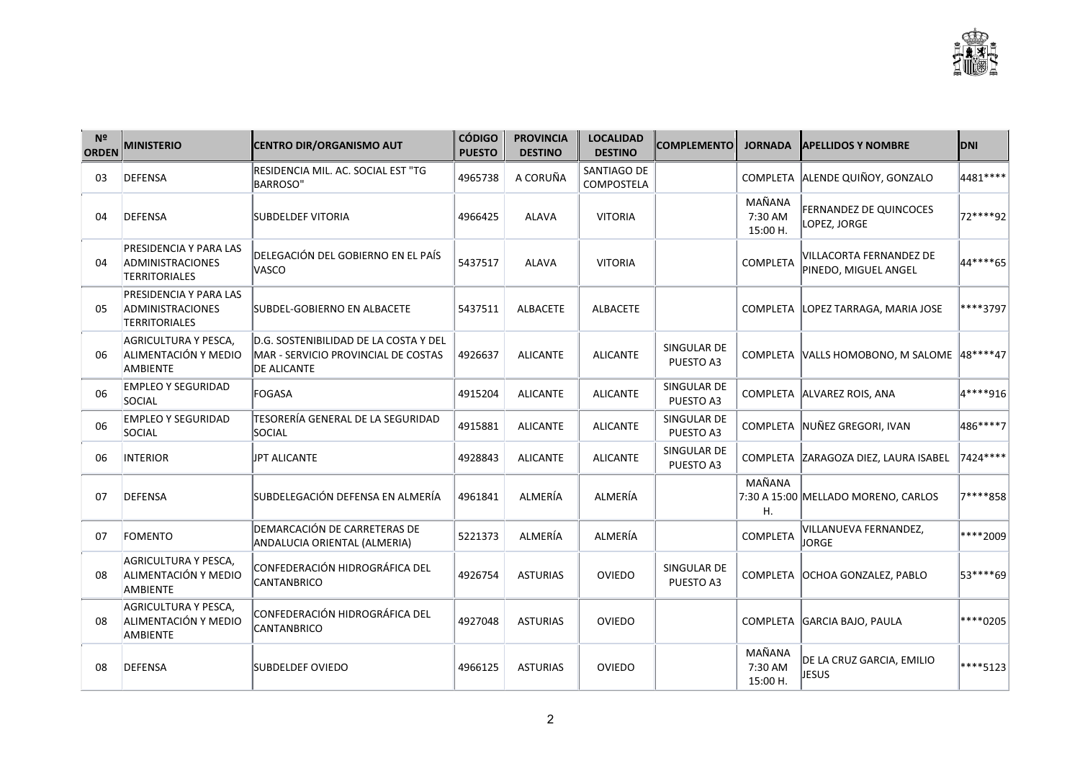| N <sup>2</sup><br><b>ORDEN</b> | <b>MINISTERIO</b>                                                  | <b>CENTRO DIR/ORGANISMO AUT</b>                                                                    | <b>CÓDIGO</b><br><b>PUESTO</b> | <b>PROVINCIA</b><br><b>DESTINO</b> | <b>LOCALIDAD</b><br><b>DESTINO</b> | <b>COMPLEMENTO</b>       | <b>JORNADA</b>                | <b>APELLIDOS Y NOMBRE</b>                       | <b>DNI</b> |
|--------------------------------|--------------------------------------------------------------------|----------------------------------------------------------------------------------------------------|--------------------------------|------------------------------------|------------------------------------|--------------------------|-------------------------------|-------------------------------------------------|------------|
| 03                             | DEFENSA                                                            | RESIDENCIA MIL. AC. SOCIAL EST "TG<br><b>BARROSO"</b>                                              | 4965738                        | A CORUÑA                           | SANTIAGO DE<br><b>COMPOSTELA</b>   |                          |                               | COMPLETA ALENDE QUIÑOY, GONZALO                 | 4481****   |
| 04                             | <b>DEFENSA</b>                                                     | <b>SUBDELDEF VITORIA</b>                                                                           | 4966425                        | <b>ALAVA</b>                       | <b>VITORIA</b>                     |                          | MAÑANA<br>7:30 AM<br>15:00 H. | FERNANDEZ DE QUINCOCES<br>LOPEZ, JORGE          | 72****92   |
| 04                             | PRESIDENCIA Y PARA LAS<br>ADMINISTRACIONES<br><b>TERRITORIALES</b> | DELEGACIÓN DEL GOBIERNO EN EL PAÍS<br>VASCO                                                        | 5437517                        | <b>ALAVA</b>                       | <b>VITORIA</b>                     |                          | COMPLETA                      | VILLACORTA FERNANDEZ DE<br>PINEDO, MIGUEL ANGEL | 44****65   |
| 05                             | PRESIDENCIA Y PARA LAS<br>ADMINISTRACIONES<br>TERRITORIALES        | SUBDEL-GOBIERNO EN ALBACETE                                                                        | 5437511                        | <b>ALBACETE</b>                    | <b>ALBACETE</b>                    |                          |                               | COMPLETA   LOPEZ TARRAGA, MARIA JOSE            | ****3797   |
| 06                             | AGRICULTURA Y PESCA,<br>ALIMENTACIÓN Y MEDIO<br><b>AMBIENTE</b>    | D.G. SOSTENIBILIDAD DE LA COSTA Y DEL<br>MAR - SERVICIO PROVINCIAL DE COSTAS<br><b>DE ALICANTE</b> | 4926637                        | <b>ALICANTE</b>                    | <b>ALICANTE</b>                    | SINGULAR DE<br>PUESTO A3 |                               | COMPLETA VALLS HOMOBONO, M SALOME 48 **** 47    |            |
| 06                             | <b>EMPLEO Y SEGURIDAD</b><br>SOCIAL                                | FOGASA                                                                                             | 4915204                        | <b>ALICANTE</b>                    | <b>ALICANTE</b>                    | SINGULAR DE<br>PUESTO A3 |                               | COMPLETA ALVAREZ ROIS, ANA                      | 4****916   |
| 06                             | <b>EMPLEO Y SEGURIDAD</b><br>SOCIAL                                | TESORERÍA GENERAL DE LA SEGURIDAD<br>SOCIAL                                                        | 4915881                        | <b>ALICANTE</b>                    | <b>ALICANTE</b>                    | SINGULAR DE<br>PUESTO A3 |                               | COMPLETA NUÑEZ GREGORI, IVAN                    | 486****7   |
| 06                             | <b>INTERIOR</b>                                                    | <b>JPT ALICANTE</b>                                                                                | 4928843                        | <b>ALICANTE</b>                    | <b>ALICANTE</b>                    | SINGULAR DE<br>PUESTO A3 |                               | COMPLETA ZARAGOZA DIEZ, LAURA ISABEL            | 7424 ****  |
| 07                             | <b>DEFENSA</b>                                                     | SUBDELEGACIÓN DEFENSA EN ALMERÍA                                                                   | 4961841                        | ALMERÍA                            | ALMERÍA                            |                          | MAÑANA<br>Η.                  | 7:30 A 15:00 MELLADO MORENO, CARLOS             | 7****858   |
| 07                             | <b>FOMENTO</b>                                                     | DEMARCACIÓN DE CARRETERAS DE<br>ANDALUCIA ORIENTAL (ALMERIA)                                       | 5221373                        | ALMERÍA                            | ALMERÍA                            |                          | COMPLETA                      | VILLANUEVA FERNANDEZ,<br><b>JORGE</b>           | ****2009   |
| 08                             | AGRICULTURA Y PESCA,<br>ALIMENTACIÓN Y MEDIO<br><b>AMBIENTE</b>    | CONFEDERACIÓN HIDROGRÁFICA DEL<br><b>CANTANBRICO</b>                                               | 4926754                        | <b>ASTURIAS</b>                    | <b>OVIEDO</b>                      | SINGULAR DE<br>PUESTO A3 |                               | COMPLETA OCHOA GONZALEZ, PABLO                  | 53****69   |
| 08                             | AGRICULTURA Y PESCA,<br>ALIMENTACIÓN Y MEDIO<br>AMBIENTE           | CONFEDERACIÓN HIDROGRÁFICA DEL<br>CANTANBRICO                                                      | 4927048                        | <b>ASTURIAS</b>                    | <b>OVIEDO</b>                      |                          |                               | COMPLETA GARCIA BAJO, PAULA                     | ****0205   |
| 08                             | <b>DEFENSA</b>                                                     | <b>SUBDELDEF OVIEDO</b>                                                                            | 4966125                        | <b>ASTURIAS</b>                    | <b>OVIEDO</b>                      |                          | MAÑANA<br>7:30 AM<br>15:00 H. | DE LA CRUZ GARCIA, EMILIO<br>JESUS              | ****5123   |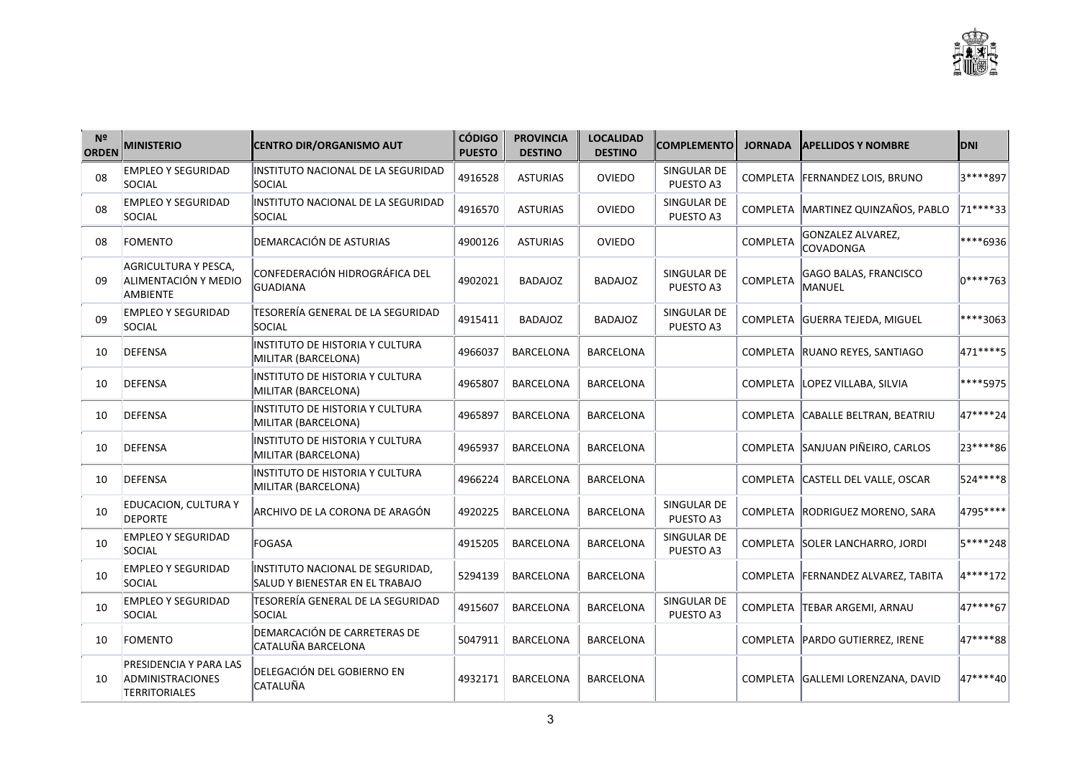| N <sup>2</sup><br><b>ORDEN</b> | <b>MINISTERIO</b>                                                  | <b>CENTRO DIR/ORGANISMO AUT</b>                                     | <b>CÓDIGO</b><br><b>PUESTO</b> | <b>PROVINCIA</b><br><b>DESTINO</b> | <b>LOCALIDAD</b><br><b>DESTINO</b> | <b>COMPLEMENTO</b>       | <b>JORNADA</b> | <b>APELLIDOS Y NOMBRE</b>                    | <b>DNI</b> |
|--------------------------------|--------------------------------------------------------------------|---------------------------------------------------------------------|--------------------------------|------------------------------------|------------------------------------|--------------------------|----------------|----------------------------------------------|------------|
| 08                             | <b>EMPLEO Y SEGURIDAD</b><br>SOCIAL                                | INSTITUTO NACIONAL DE LA SEGURIDAD<br><b>SOCIAL</b>                 | 4916528                        | <b>ASTURIAS</b>                    | OVIEDO                             | SINGULAR DE<br>PUESTO A3 |                | COMPLETA FERNANDEZ LOIS, BRUNO               | 3****897   |
| 08                             | <b>EMPLEO Y SEGURIDAD</b><br>SOCIAL                                | INSTITUTO NACIONAL DE LA SEGURIDAD<br>SOCIAL                        | 4916570                        | <b>ASTURIAS</b>                    | OVIEDO                             | SINGULAR DE<br>PUESTO A3 |                | COMPLETA MARTINEZ QUINZAÑOS, PABLO           | 71****33   |
| 08                             | FOMENTO                                                            | DEMARCACIÓN DE ASTURIAS                                             | 4900126                        | <b>ASTURIAS</b>                    | <b>OVIEDO</b>                      |                          | COMPLETA       | <b>GONZALEZ ALVAREZ,</b><br><b>COVADONGA</b> | ****6936   |
| 09                             | AGRICULTURA Y PESCA,<br>ALIMENTACIÓN Y MEDIO<br>AMBIENTE           | CONFEDERACIÓN HIDROGRÁFICA DEL<br>GUADIANA                          | 4902021                        | <b>BADAJOZ</b>                     | <b>BADAJOZ</b>                     | SINGULAR DE<br>PUESTO A3 | COMPLETA       | <b>GAGO BALAS, FRANCISCO</b><br>lmanuel      | 0****763   |
| 09                             | <b>EMPLEO Y SEGURIDAD</b><br>SOCIAL                                | TESORERÍA GENERAL DE LA SEGURIDAD<br><b>SOCIAL</b>                  | 4915411                        | <b>BADAJOZ</b>                     | <b>BADAJOZ</b>                     | SINGULAR DE<br>PUESTO A3 |                | COMPLETA GUERRA TEJEDA, MIGUEL               | ****3063   |
| 10                             | DEFENSA                                                            | INSTITUTO DE HISTORIA Y CULTURA<br>MILITAR (BARCELONA)              | 4966037                        | <b>BARCELONA</b>                   | <b>BARCELONA</b>                   |                          |                | COMPLETA RUANO REYES, SANTIAGO               | 471 **** 5 |
| 10                             | <b>DEFENSA</b>                                                     | INSTITUTO DE HISTORIA Y CULTURA<br>MILITAR (BARCELONA)              | 4965807                        | <b>BARCELONA</b>                   | <b>BARCELONA</b>                   |                          |                | COMPLETA LOPEZ VILLABA, SILVIA               | ****5975   |
| 10                             | <b>DEFENSA</b>                                                     | INSTITUTO DE HISTORIA Y CULTURA<br>MILITAR (BARCELONA)              | 4965897                        | <b>BARCELONA</b>                   | <b>BARCELONA</b>                   |                          |                | COMPLETA CABALLE BELTRAN, BEATRIU            | 47****24   |
| 10                             | DEFENSA                                                            | INSTITUTO DE HISTORIA Y CULTURA<br>MILITAR (BARCELONA)              | 4965937                        | <b>BARCELONA</b>                   | <b>BARCELONA</b>                   |                          |                | COMPLETA SANJUAN PIÑEIRO, CARLOS             | 23****86   |
| 10                             | DEFENSA                                                            | INSTITUTO DE HISTORIA Y CULTURA<br>MILITAR (BARCELONA)              | 4966224                        | <b>BARCELONA</b>                   | <b>BARCELONA</b>                   |                          |                | COMPLETA CASTELL DEL VALLE, OSCAR            | 524****8   |
| 10                             | <b>EDUCACION, CULTURA Y</b><br><b>DEPORTE</b>                      | ARCHIVO DE LA CORONA DE ARAGÓN                                      | 4920225                        | <b>BARCELONA</b>                   | <b>BARCELONA</b>                   | SINGULAR DE<br>PUESTO A3 |                | COMPLETA RODRIGUEZ MORENO, SARA              | 4795****   |
| 10                             | <b>EMPLEO Y SEGURIDAD</b><br>SOCIAL                                | FOGASA                                                              | 4915205                        | <b>BARCELONA</b>                   | <b>BARCELONA</b>                   | SINGULAR DE<br>PUESTO A3 |                | COMPLETA SOLER LANCHARRO, JORDI              | 5****248   |
| 10                             | <b>EMPLEO Y SEGURIDAD</b><br>SOCIAL                                | INSTITUTO NACIONAL DE SEGURIDAD,<br>SALUD Y BIENESTAR EN EL TRABAJO | 5294139                        | <b>BARCELONA</b>                   | <b>BARCELONA</b>                   |                          |                | COMPLETA FERNANDEZ ALVAREZ, TABITA           | 4****172   |
| 10                             | <b>EMPLEO Y SEGURIDAD</b><br>SOCIAL                                | TESORERÍA GENERAL DE LA SEGURIDAD<br>SOCIAL                         | 4915607                        | <b>BARCELONA</b>                   | <b>BARCELONA</b>                   | SINGULAR DE<br>PUESTO A3 |                | COMPLETA TEBAR ARGEMI, ARNAU                 | 47****67   |
| 10                             | FOMENTO                                                            | DEMARCACIÓN DE CARRETERAS DE<br>CATALUÑA BARCELONA                  | 5047911                        | BARCELONA                          | <b>BARCELONA</b>                   |                          |                | COMPLETA   PARDO GUTIERREZ, IRENE            | 47****88   |
| 10                             | PRESIDENCIA Y PARA LAS<br><b>ADMINISTRACIONES</b><br>TERRITORIALES | DELEGACIÓN DEL GOBIERNO EN<br>CATALUÑA                              | 4932171                        | <b>BARCELONA</b>                   | <b>BARCELONA</b>                   |                          |                | COMPLETA GALLEMI LORENZANA, DAVID            | 47****40   |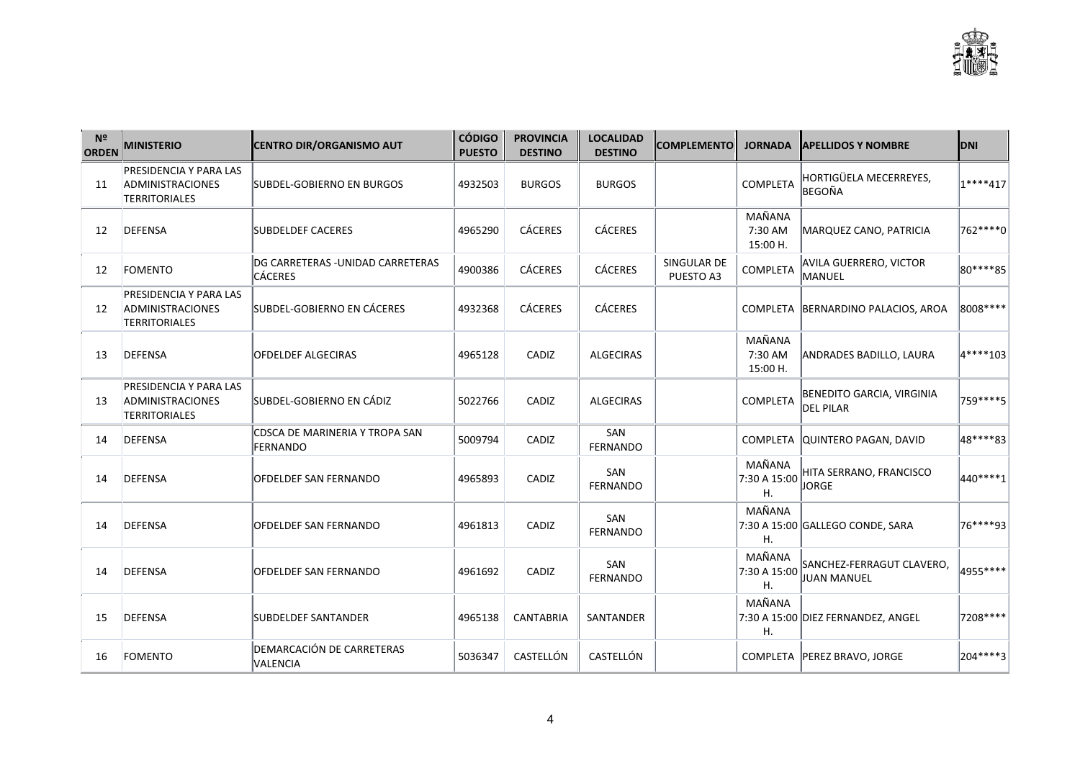| Nº<br><b>ORDEN</b> | <b>MINISTERIO</b>                                                         | <b>CENTRO DIR/ORGANISMO AUT</b>                     | <b>CÓDIGO</b><br><b>PUESTO</b> | <b>PROVINCIA</b><br><b>DESTINO</b> | <b>LOCALIDAD</b><br><b>DESTINO</b> | <b>COMPLEMENTO</b>       | <b>JORNADA</b>                | <b>IAPELLIDOS Y NOMBRE</b>                    | <b>DNI</b> |
|--------------------|---------------------------------------------------------------------------|-----------------------------------------------------|--------------------------------|------------------------------------|------------------------------------|--------------------------|-------------------------------|-----------------------------------------------|------------|
| 11                 | PRESIDENCIA Y PARA LAS<br>ADMINISTRACIONES<br><b>TERRITORIALES</b>        | SUBDEL-GOBIERNO EN BURGOS                           | 4932503                        | <b>BURGOS</b>                      | <b>BURGOS</b>                      |                          | COMPLETA                      | HORTIGÜELA MECERREYES,<br><b>BEGOÑA</b>       | $1***417$  |
| 12                 | <b>DEFENSA</b>                                                            | <b>SUBDELDEF CACERES</b>                            | 4965290                        | <b>CÁCERES</b>                     | <b>CÁCERES</b>                     |                          | MAÑANA<br>7:30 AM<br>15:00 H. | MARQUEZ CANO, PATRICIA                        | 762 **** 0 |
| 12                 | FOMENTO                                                                   | DG CARRETERAS - UNIDAD CARRETERAS<br><b>CÁCERES</b> | 4900386                        | <b>CÁCERES</b>                     | <b>CÁCERES</b>                     | SINGULAR DE<br>PUESTO A3 | <b>COMPLETA</b>               | AVILA GUERRERO, VICTOR<br>MANUEL              | 80****85   |
| 12                 | PRESIDENCIA Y PARA LAS<br>ADMINISTRACIONES<br><b>TERRITORIALES</b>        | SUBDEL-GOBIERNO EN CÁCERES                          | 4932368                        | <b>CÁCERES</b>                     | <b>CÁCERES</b>                     |                          |                               | COMPLETA BERNARDINO PALACIOS, AROA            | 8008 ****  |
| 13                 | DEFENSA                                                                   | <b>OFDELDEF ALGECIRAS</b>                           | 4965128                        | CADIZ                              | <b>ALGECIRAS</b>                   |                          | MAÑANA<br>7:30 AM<br>15:00 H. | <b>ANDRADES BADILLO, LAURA</b>                | 4****103   |
| 13                 | PRESIDENCIA Y PARA LAS<br><b>ADMINISTRACIONES</b><br><b>TERRITORIALES</b> | SUBDEL-GOBIERNO EN CÁDIZ                            | 5022766                        | CADIZ                              | <b>ALGECIRAS</b>                   |                          | COMPLETA                      | BENEDITO GARCIA, VIRGINIA<br><b>DEL PILAR</b> | 759 **** 5 |
| 14                 | DEFENSA                                                                   | CDSCA DE MARINERIA Y TROPA SAN<br><b>FERNANDO</b>   | 5009794                        | CADIZ                              | SAN<br><b>FERNANDO</b>             |                          |                               | COMPLETA QUINTERO PAGAN, DAVID                | 48****83   |
| 14                 | DEFENSA                                                                   | <b>OFDELDEF SAN FERNANDO</b>                        | 4965893                        | CADIZ                              | SAN<br>FERNANDO                    |                          | MAÑANA<br>7:30 A 15:00<br>Η.  | HITA SERRANO, FRANCISCO<br>JORGE              | 440****1   |
| 14                 | DEFENSA                                                                   | <b>OFDELDEF SAN FERNANDO</b>                        | 4961813                        | CADIZ                              | SAN<br>FERNANDO                    |                          | MAÑANA<br>Η.                  | 7:30 A 15:00 GALLEGO CONDE, SARA              | 76****93   |
| 14                 | DEFENSA                                                                   | <b>OFDELDEF SAN FERNANDO</b>                        | 4961692                        | CADIZ                              | SAN<br><b>FERNANDO</b>             |                          | MAÑANA<br>7:30 A 15:00<br>Η.  | SANCHEZ-FERRAGUT CLAVERO,<br>JUAN MANUEL      | 4955****   |
| 15                 | DEFENSA                                                                   | <b>SUBDELDEF SANTANDER</b>                          | 4965138                        | <b>CANTABRIA</b>                   | SANTANDER                          |                          | MAÑANA<br>Η.                  | 7:30 A 15:00 DIEZ FERNANDEZ, ANGEL            | 7208****   |
| 16                 | <b>FOMENTO</b>                                                            | DEMARCACIÓN DE CARRETERAS<br>VALENCIA               | 5036347                        | CASTELLÓN                          | CASTELLÓN                          |                          |                               | COMPLETA   PEREZ BRAVO, JORGE                 | 204****3   |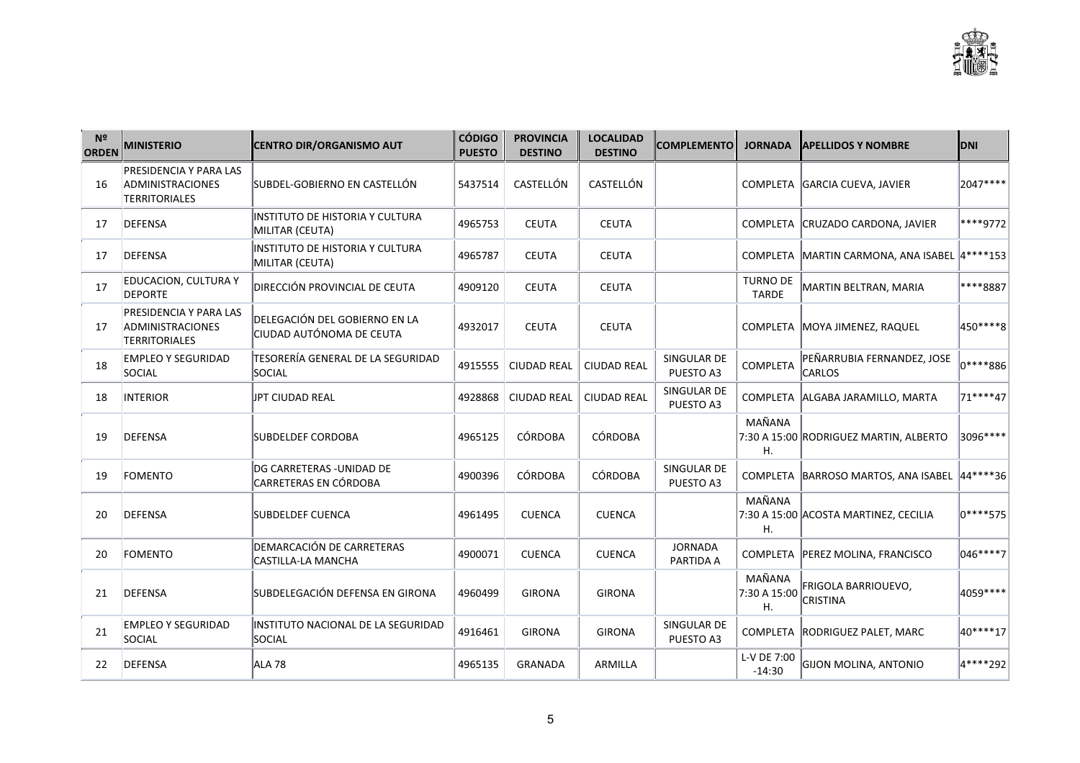| N <sup>2</sup><br><b>ORDEN</b> | <b>MINISTERIO</b>                                                         | <b>CENTRO DIR/ORGANISMO AUT</b>                           | <b>CÓDIGO</b><br><b>PUESTO</b> | <b>PROVINCIA</b><br><b>DESTINO</b> | <b>LOCALIDAD</b><br><b>DESTINO</b> | <b>COMPLEMENTO</b>          | <b>JORNADA</b>                  | <b>APELLIDOS Y NOMBRE</b>                        | <b>DNI</b> |
|--------------------------------|---------------------------------------------------------------------------|-----------------------------------------------------------|--------------------------------|------------------------------------|------------------------------------|-----------------------------|---------------------------------|--------------------------------------------------|------------|
| 16                             | <b>PRESIDENCIA Y PARA LAS</b><br>ADMINISTRACIONES<br><b>TERRITORIALES</b> | SUBDEL-GOBIERNO EN CASTELLÓN                              | 5437514                        | CASTELLÓN                          | CASTELLÓN                          |                             |                                 | COMPLETA GARCIA CUEVA, JAVIER                    | 2047****   |
| 17                             | DEFENSA                                                                   | IINSTITUTO DE HISTORIA Y CULTURA<br>MILITAR (CEUTA)       | 4965753                        | <b>CEUTA</b>                       | CEUTA                              |                             |                                 | COMPLETA CRUZADO CARDONA, JAVIER                 | ****9772   |
| 17                             | DEFENSA                                                                   | INSTITUTO DE HISTORIA Y CULTURA<br>MILITAR (CEUTA)        | 4965787                        | <b>CEUTA</b>                       | <b>CEUTA</b>                       |                             |                                 | COMPLETA MARTIN CARMONA, ANA ISABEL 4 **** 153   |            |
| 17                             | <b>EDUCACION, CULTURA Y</b><br><b>DEPORTE</b>                             | DIRECCIÓN PROVINCIAL DE CEUTA                             | 4909120                        | <b>CEUTA</b>                       | <b>CEUTA</b>                       |                             | <b>TURNO DE</b><br><b>TARDE</b> | MARTIN BELTRAN, MARIA                            | ****8887   |
| 17                             | PRESIDENCIA Y PARA LAS<br>ADMINISTRACIONES<br><b>TERRITORIALES</b>        | DELEGACIÓN DEL GOBIERNO EN LA<br>CIUDAD AUTÓNOMA DE CEUTA | 4932017                        | <b>CEUTA</b>                       | <b>CEUTA</b>                       |                             |                                 | COMPLETA MOYA JIMENEZ, RAQUEL                    | 450 **** 8 |
| 18                             | <b>EMPLEO Y SEGURIDAD</b><br>SOCIAL                                       | TESORERÍA GENERAL DE LA SEGURIDAD<br>SOCIAL               | 4915555                        | <b>CIUDAD REAL</b>                 | <b>CIUDAD REAL</b>                 | SINGULAR DE<br>PUESTO A3    | COMPLETA                        | PEÑARRUBIA FERNANDEZ, JOSE<br>CARLOS             | 10****886  |
| 18                             | <b>INTERIOR</b>                                                           | UPT CIUDAD REAL                                           | 4928868                        | <b>CIUDAD REAL</b>                 | <b>CIUDAD REAL</b>                 | SINGULAR DE<br>PUESTO A3    |                                 | COMPLETA ALGABA JARAMILLO, MARTA                 | 71****47   |
| 19                             | DEFENSA                                                                   | <b>SUBDELDEF CORDOBA</b>                                  | 4965125                        | <b>CÓRDOBA</b>                     | <b>CÓRDOBA</b>                     |                             | MAÑANA<br>Η.                    | 7:30 A 15:00 RODRIGUEZ MARTIN, ALBERTO           | 3096 ****  |
| 19                             | FOMENTO                                                                   | DG CARRETERAS - UNIDAD DE<br> CARRETERAS EN CÓRDOBA       | 4900396                        | CÓRDOBA                            | <b>CÓRDOBA</b>                     | SINGULAR DE<br>PUESTO A3    |                                 | COMPLETA   BARROSO MARTOS, ANA ISABEL   44****36 |            |
| 20                             | DEFENSA                                                                   | <b>SUBDELDEF CUENCA</b>                                   | 4961495                        | <b>CUENCA</b>                      | <b>CUENCA</b>                      |                             | MAÑANA<br>Η.                    | 7:30 A 15:00 ACOSTA MARTINEZ, CECILIA            | 0****575   |
| 20                             | FOMENTO                                                                   | DEMARCACIÓN DE CARRETERAS<br>CASTILLA-LA MANCHA           | 4900071                        | <b>CUENCA</b>                      | <b>CUENCA</b>                      | <b>JORNADA</b><br>PARTIDA A |                                 | COMPLETA PEREZ MOLINA, FRANCISCO                 | 046****7   |
| 21                             | DEFENSA                                                                   | SUBDELEGACIÓN DEFENSA EN GIRONA                           | 4960499                        | <b>GIRONA</b>                      | <b>GIRONA</b>                      |                             | MAÑANA<br>7:30 A 15:00<br>Η.    | FRIGOLA BARRIOUEVO,<br><b>CRISTINA</b>           | 4059****   |
| 21                             | <b>EMPLEO Y SEGURIDAD</b><br>SOCIAL                                       | INSTITUTO NACIONAL DE LA SEGURIDAD<br>SOCIAL              | 4916461                        | <b>GIRONA</b>                      | <b>GIRONA</b>                      | SINGULAR DE<br>PUESTO A3    |                                 | COMPLETA RODRIGUEZ PALET, MARC                   | 40****17   |
| 22                             | DEFENSA                                                                   | ALA <sub>78</sub>                                         | 4965135                        | <b>GRANADA</b>                     | ARMILLA                            |                             | L-V DE 7:00<br>$-14:30$         | <b>GIJON MOLINA, ANTONIO</b>                     | 4****292   |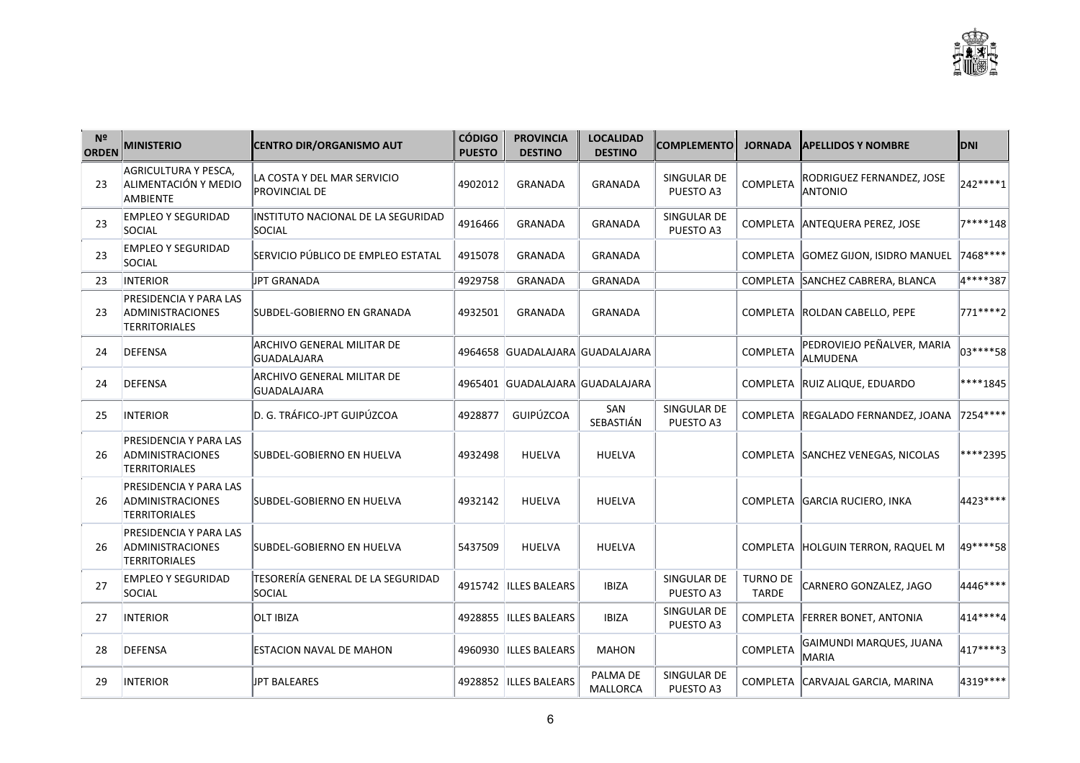| N <sup>2</sup><br><b>ORDEN</b> | <b>MINISTERIO</b>                                                         | CENTRO DIR/ORGANISMO AUT                            | <b>CÓDIGO</b><br><b>PUESTO</b> | <b>PROVINCIA</b><br><b>DESTINO</b> | <b>LOCALIDAD</b><br><b>DESTINO</b> | <b>COMPLEMENTO</b>       | <b>JORNADA</b>                  | <b>APELLIDOS Y NOMBRE</b>              | <b>DNI</b>  |
|--------------------------------|---------------------------------------------------------------------------|-----------------------------------------------------|--------------------------------|------------------------------------|------------------------------------|--------------------------|---------------------------------|----------------------------------------|-------------|
| 23                             | AGRICULTURA Y PESCA,<br>ALIMENTACIÓN Y MEDIO<br><b>AMBIENTE</b>           | LA COSTA Y DEL MAR SERVICIO<br><b>PROVINCIAL DE</b> | 4902012                        | <b>GRANADA</b>                     | <b>GRANADA</b>                     | SINGULAR DE<br>PUESTO A3 | COMPLETA                        | RODRIGUEZ FERNANDEZ, JOSE<br>ANTONIO   | 242****1    |
| 23                             | <b>EMPLEO Y SEGURIDAD</b><br>SOCIAL                                       | INSTITUTO NACIONAL DE LA SEGURIDAD<br><b>SOCIAL</b> | 4916466                        | <b>GRANADA</b>                     | GRANADA                            | SINGULAR DE<br>PUESTO A3 |                                 | COMPLETA ANTEQUERA PEREZ. JOSE         | 7****148    |
| 23                             | <b>EMPLEO Y SEGURIDAD</b><br>SOCIAL                                       | SERVICIO PÚBLICO DE EMPLEO ESTATAL                  | 4915078                        | <b>GRANADA</b>                     | <b>GRANADA</b>                     |                          |                                 | COMPLETA GOMEZ GIJON, ISIDRO MANUEL    | $ 7468*** $ |
| 23                             | INTERIOR                                                                  | JPT GRANADA                                         | 4929758                        | GRANADA                            | <b>GRANADA</b>                     |                          |                                 | COMPLETA SANCHEZ CABRERA, BLANCA       | 4****387    |
| 23                             | PRESIDENCIA Y PARA LAS<br>ADMINISTRACIONES<br><b>TERRITORIALES</b>        | SUBDEL-GOBIERNO EN GRANADA                          | 4932501                        | <b>GRANADA</b>                     | <b>GRANADA</b>                     |                          |                                 | COMPLETA ROLDAN CABELLO, PEPE          | 771 **** 2  |
| 24                             | <b>DEFENSA</b>                                                            | ARCHIVO GENERAL MILITAR DE<br>GUADALAJARA           |                                | 4964658 GUADALAJARA GUADALAJARA    |                                    |                          | <b>COMPLETA</b>                 | PEDROVIEJO PEÑALVER, MARIA<br>ALMUDENA | 03****58    |
| 24                             | DEFENSA                                                                   | ARCHIVO GENERAL MILITAR DE<br>GUADALAJARA           |                                | 4965401 GUADALAJARA GUADALAJARA    |                                    |                          |                                 | COMPLETA RUIZ ALIQUE, EDUARDO          | ****1845    |
| 25                             | <b>INTERIOR</b>                                                           | D. G. TRÁFICO-JPT GUIPÚZCOA                         | 4928877                        | <b>GUIPÚZCOA</b>                   | SAN<br>SEBASTIÁN                   | SINGULAR DE<br>PUESTO A3 |                                 | COMPLETA REGALADO FERNANDEZ, JOANA     | $ 7254*** $ |
| 26                             | PRESIDENCIA Y PARA LAS<br>ADMINISTRACIONES<br>TERRITORIALES               | SUBDEL-GOBIERNO EN HUELVA                           | 4932498                        | <b>HUELVA</b>                      | <b>HUELVA</b>                      |                          |                                 | COMPLETA SANCHEZ VENEGAS, NICOLAS      | ****2395    |
| 26                             | PRESIDENCIA Y PARA LAS<br>ADMINISTRACIONES<br><b>TERRITORIALES</b>        | SUBDEL-GOBIERNO EN HUELVA                           | 4932142                        | <b>HUELVA</b>                      | HUELVA                             |                          |                                 | COMPLETA GARCIA RUCIERO, INKA          | 4423 ****   |
| 26                             | PRESIDENCIA Y PARA LAS<br><b>ADMINISTRACIONES</b><br><b>TERRITORIALES</b> | SUBDEL-GOBIERNO EN HUELVA                           | 5437509                        | <b>HUELVA</b>                      | <b>HUELVA</b>                      |                          |                                 | COMPLETA HOLGUIN TERRON, RAQUEL M      | 49****58    |
| 27                             | <b>EMPLEO Y SEGURIDAD</b><br>SOCIAL                                       | TESORERÍA GENERAL DE LA SEGURIDAD<br>SOCIAL         |                                | 4915742  ILLES BALEARS             | <b>IBIZA</b>                       | SINGULAR DE<br>PUESTO A3 | <b>TURNO DE</b><br><b>TARDE</b> | CARNERO GONZALEZ, JAGO                 | 4446****    |
| 27                             | <b>INTERIOR</b>                                                           | <b>OLT IBIZA</b>                                    |                                | 4928855 ILLES BALEARS              | <b>IBIZA</b>                       | SINGULAR DE<br>PUESTO A3 |                                 | COMPLETA FERRER BONET, ANTONIA         | 414 **** 4  |
| 28                             | <b>DEFENSA</b>                                                            | <b>ESTACION NAVAL DE MAHON</b>                      |                                | 4960930 ILLES BALEARS              | <b>MAHON</b>                       |                          | <b>COMPLETA</b>                 | GAIMUNDI MARQUES, JUANA<br>MARIA       | 417****3    |
| 29                             | <b>INTERIOR</b>                                                           | JPT BALEARES                                        |                                | 4928852 ILLES BALEARS              | PALMA DE<br>MALLORCA               | SINGULAR DE<br>PUESTO A3 |                                 | COMPLETA CARVAJAL GARCIA, MARINA       | $ 4319*** $ |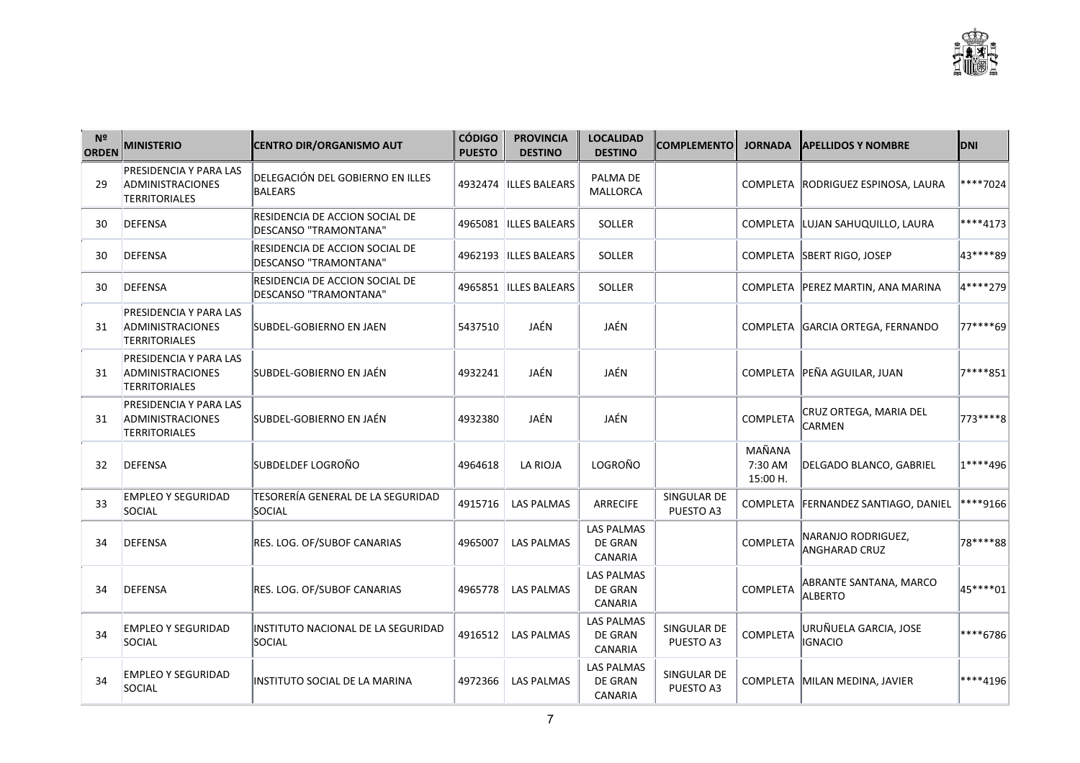| N <sup>2</sup><br><b>ORDEN</b> | <b>MINISTERIO</b>                                                         | <b>CENTRO DIR/ORGANISMO AUT</b>                                | <b>CÓDIGO</b><br><b>PUESTO</b> | <b>PROVINCIA</b><br><b>DESTINO</b> | <b>LOCALIDAD</b><br><b>DESTINO</b>             | <b>COMPLEMENTO</b>       | <b>JORNADA</b>                | <b>APELLIDOS Y NOMBRE</b>                  | <b>DNI</b> |
|--------------------------------|---------------------------------------------------------------------------|----------------------------------------------------------------|--------------------------------|------------------------------------|------------------------------------------------|--------------------------|-------------------------------|--------------------------------------------|------------|
| 29                             | <b>PRESIDENCIA Y PARA LAS</b><br>ADMINISTRACIONES<br><b>TERRITORIALES</b> | DELEGACIÓN DEL GOBIERNO EN ILLES<br><b>BALEARS</b>             | 4932474                        | <b>ILLES BALEARS</b>               | PALMA DE<br><b>MALLORCA</b>                    |                          |                               | COMPLETA RODRIGUEZ ESPINOSA, LAURA         | ****7024   |
| 30                             | DEFENSA                                                                   | <b>RESIDENCIA DE ACCION SOCIAL DE</b><br>DESCANSO "TRAMONTANA" |                                | 4965081  ILLES BALEARS             | <b>SOLLER</b>                                  |                          |                               | COMPLETA LUJAN SAHUQUILLO, LAURA           | ****4173   |
| 30                             | DEFENSA                                                                   | RESIDENCIA DE ACCION SOCIAL DE<br>DESCANSO "TRAMONTANA"        | 4962193                        | <b>ILLES BALEARS</b>               | <b>SOLLER</b>                                  |                          |                               | COMPLETA SBERT RIGO, JOSEP                 | 43****89   |
| 30                             | <b>DEFENSA</b>                                                            | RESIDENCIA DE ACCION SOCIAL DE<br>DESCANSO "TRAMONTANA"        |                                | 4965851  ILLES BALEARS             | SOLLER                                         |                          |                               | COMPLETA   PEREZ MARTIN, ANA MARINA        | 4****279   |
| 31                             | <b>PRESIDENCIA Y PARA LAS</b><br>ADMINISTRACIONES<br>TERRITORIALES        | SUBDEL-GOBIERNO EN JAEN                                        | 5437510                        | JAÉN                               | JAÉN                                           |                          |                               | COMPLETA GARCIA ORTEGA, FERNANDO           | 77****69   |
| 31                             | <b>PRESIDENCIA Y PARA LAS</b><br>ADMINISTRACIONES<br>TERRITORIALES        | SUBDEL-GOBIERNO EN JAÉN                                        | 4932241                        | JAÉN                               | JAÉN                                           |                          |                               | COMPLETA PEÑA AGUILAR, JUAN                | 7****851   |
| 31                             | PRESIDENCIA Y PARA LAS<br>ADMINISTRACIONES<br>TERRITORIALES               | SUBDEL-GOBIERNO EN JAÉN                                        | 4932380                        | JAÉN                               | JAÉN                                           |                          | <b>COMPLETA</b>               | CRUZ ORTEGA, MARIA DEL<br>CARMEN           | 773 **** 8 |
| 32                             | DEFENSA                                                                   | SUBDELDEF LOGROÑO                                              | 4964618                        | <b>LA RIOJA</b>                    | LOGROÑO                                        |                          | MAÑANA<br>7:30 AM<br>15:00 H. | DELGADO BLANCO, GABRIEL                    | 1****496   |
| 33                             | <b>EMPLEO Y SEGURIDAD</b><br>SOCIAL                                       | TESORERÍA GENERAL DE LA SEGURIDAD<br>SOCIAL                    | 4915716                        | <b>LAS PALMAS</b>                  | <b>ARRECIFE</b>                                | SINGULAR DE<br>PUESTO A3 |                               | COMPLETA   FERNANDEZ SANTIAGO, DANIEL      | ****9166   |
| 34                             | DEFENSA                                                                   | RES. LOG. OF/SUBOF CANARIAS                                    | 4965007                        | <b>LAS PALMAS</b>                  | <b>LAS PALMAS</b><br>DE GRAN<br>CANARIA        |                          | <b>COMPLETA</b>               | NARANJO RODRIGUEZ,<br><b>ANGHARAD CRUZ</b> | 78****88   |
| 34                             | DEFENSA                                                                   | RES. LOG. OF/SUBOF CANARIAS                                    | 4965778                        | <b>LAS PALMAS</b>                  | LAS PALMAS<br>DE GRAN<br>CANARIA               |                          | COMPLETA                      | ABRANTE SANTANA, MARCO<br><b>ALBERTO</b>   | 45****01   |
| 34                             | <b>EMPLEO Y SEGURIDAD</b><br>SOCIAL                                       | INSTITUTO NACIONAL DE LA SEGURIDAD<br>SOCIAL                   | 4916512                        | <b>LAS PALMAS</b>                  | <b>LAS PALMAS</b><br>DE GRAN<br>CANARIA        | SINGULAR DE<br>PUESTO A3 | <b>COMPLETA</b>               | URUÑUELA GARCIA, JOSE<br><b>IGNACIO</b>    | ****6786   |
| 34                             | EMPLEO Y SEGURIDAD<br>SOCIAL                                              | INSTITUTO SOCIAL DE LA MARINA                                  | 4972366                        | <b>LAS PALMAS</b>                  | <b>LAS PALMAS</b><br>DE GRAN<br><b>CANARIA</b> | SINGULAR DE<br>PUESTO A3 |                               | COMPLETA MILAN MEDINA, JAVIER              | ****4196   |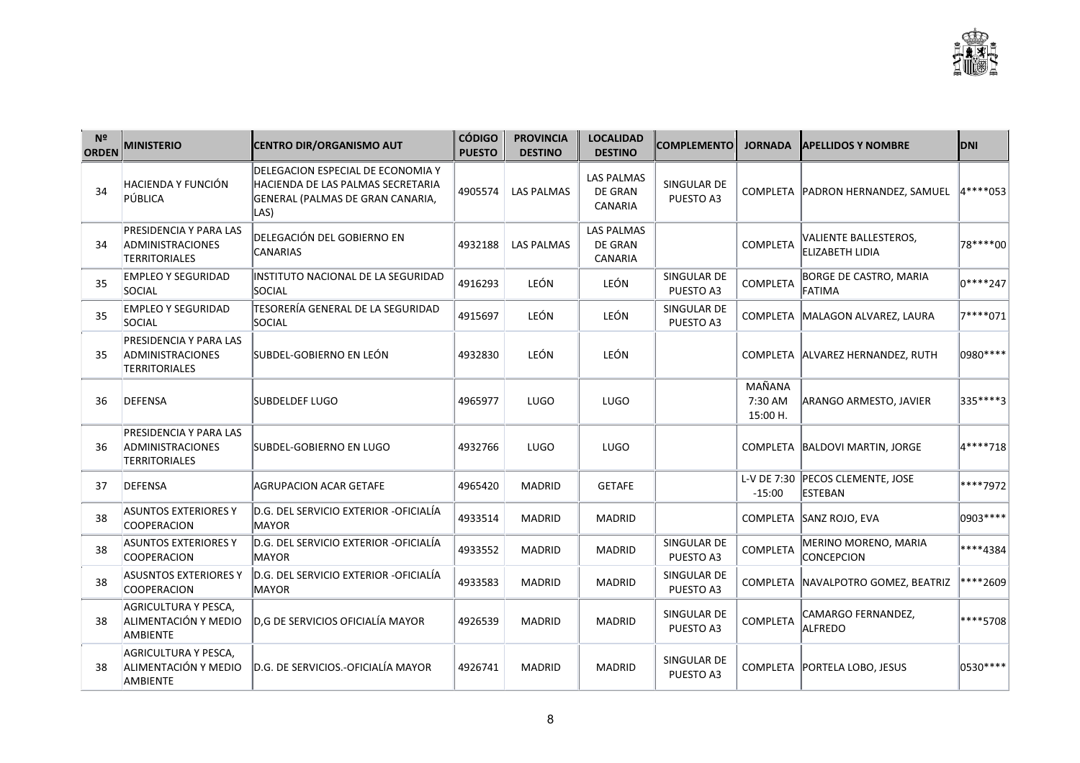| N <sup>2</sup><br><b>ORDEN</b> | <b>MINISTERIO</b>                                                         | <b>CENTRO DIR/ORGANISMO AUT</b>                                                                                     | <b>CÓDIGO</b><br><b>PUESTO</b> | <b>PROVINCIA</b><br><b>DESTINO</b> | <b>LOCALIDAD</b><br><b>DESTINO</b>                    | <b>COMPLEMENTO</b>       | <b>JORNADA</b>                | <b>APELLIDOS Y NOMBRE</b>                          | <b>DNI</b>   |
|--------------------------------|---------------------------------------------------------------------------|---------------------------------------------------------------------------------------------------------------------|--------------------------------|------------------------------------|-------------------------------------------------------|--------------------------|-------------------------------|----------------------------------------------------|--------------|
| 34                             | HACIENDA Y FUNCIÓN<br>PÚBLICA                                             | DELEGACION ESPECIAL DE ECONOMIA Y<br> HACIENDA DE LAS PALMAS SECRETARIA<br>GENERAL (PALMAS DE GRAN CANARIA,<br>LAS) | 4905574                        | <b>LAS PALMAS</b>                  | <b>LAS PALMAS</b><br><b>DE GRAN</b><br><b>CANARIA</b> | SINGULAR DE<br>PUESTO A3 |                               | COMPLETA   PADRON HERNANDEZ, SAMUEL                | $4***053$    |
| 34                             | PRESIDENCIA Y PARA LAS<br><b>ADMINISTRACIONES</b><br>TERRITORIALES        | DELEGACIÓN DEL GOBIERNO EN<br>CANARIAS                                                                              | 4932188                        | <b>LAS PALMAS</b>                  | <b>LAS PALMAS</b><br><b>DE GRAN</b><br><b>CANARIA</b> |                          | COMPLETA                      | VALIENTE BALLESTEROS,<br><b>ELIZABETH LIDIA</b>    | 78 **** 00   |
| 35                             | <b>EMPLEO Y SEGURIDAD</b><br>SOCIAL                                       | INSTITUTO NACIONAL DE LA SEGURIDAD<br>SOCIAL                                                                        | 4916293                        | LEÓN                               | LEÓN                                                  | SINGULAR DE<br>PUESTO A3 | COMPLETA                      | <b>BORGE DE CASTRO, MARIA</b><br><b>FATIMA</b>     | $ 0****247 $ |
| 35                             | <b>EMPLEO Y SEGURIDAD</b><br>SOCIAL                                       | TESORERÍA GENERAL DE LA SEGURIDAD<br>SOCIAL                                                                         | 4915697                        | LEÓN                               | LEÓN                                                  | SINGULAR DE<br>PUESTO A3 |                               | COMPLETA MALAGON ALVAREZ, LAURA                    | 7****071     |
| 35                             | PRESIDENCIA Y PARA LAS<br>ADMINISTRACIONES<br><b>TERRITORIALES</b>        | SUBDEL-GOBIERNO EN LEÓN                                                                                             | 4932830                        | LEÓN                               | LEÓN                                                  |                          |                               | COMPLETA ALVAREZ HERNANDEZ, RUTH                   | 0980 ****    |
| 36                             | DEFENSA                                                                   | <b>SUBDELDEF LUGO</b>                                                                                               | 4965977                        | <b>LUGO</b>                        | LUGO                                                  |                          | MAÑANA<br>7:30 AM<br>15:00 H. | ARANGO ARMESTO, JAVIER                             | 335****3     |
| 36                             | PRESIDENCIA Y PARA LAS<br><b>ADMINISTRACIONES</b><br><b>TERRITORIALES</b> | SUBDEL-GOBIERNO EN LUGO                                                                                             | 4932766                        | <b>LUGO</b>                        | LUGO                                                  |                          |                               | COMPLETA BALDOVI MARTIN, JORGE                     | 4****718     |
| 37                             | DEFENSA                                                                   | AGRUPACION ACAR GETAFE                                                                                              | 4965420                        | <b>MADRID</b>                      | <b>GETAFE</b>                                         |                          | $-15:00$                      | L-V DE 7:30 PECOS CLEMENTE, JOSE<br><b>ESTEBAN</b> | ****7972     |
| 38                             | <b>ASUNTOS EXTERIORES Y</b><br><b>COOPERACION</b>                         | D.G. DEL SERVICIO EXTERIOR -OFICIALÍA<br><b>MAYOR</b>                                                               | 4933514                        | <b>MADRID</b>                      | <b>MADRID</b>                                         |                          |                               | COMPLETA SANZ ROJO, EVA                            | 0903 ****    |
| 38                             | <b>ASUNTOS EXTERIORES Y</b><br><b>COOPERACION</b>                         | D.G. DEL SERVICIO EXTERIOR - OFICIALÍA<br><b>MAYOR</b>                                                              | 4933552                        | <b>MADRID</b>                      | <b>MADRID</b>                                         | SINGULAR DE<br>PUESTO A3 | COMPLETA                      | MERINO MORENO, MARIA<br><b>CONCEPCION</b>          | ****4384     |
| 38                             | <b>ASUSNTOS EXTERIORES Y</b><br>COOPERACION                               | D.G. DEL SERVICIO EXTERIOR -OFICIALÍA<br>MAYOR                                                                      | 4933583                        | <b>MADRID</b>                      | <b>MADRID</b>                                         | SINGULAR DE<br>PUESTO A3 |                               | COMPLETA NAVALPOTRO GOMEZ, BEATRIZ                 | ****2609     |
| 38                             | AGRICULTURA Y PESCA,<br>ALIMENTACIÓN Y MEDIO<br>AMBIENTE                  | D, G DE SERVICIOS OFICIALÍA MAYOR                                                                                   | 4926539                        | <b>MADRID</b>                      | <b>MADRID</b>                                         | SINGULAR DE<br>PUESTO A3 | COMPLETA                      | CAMARGO FERNANDEZ,<br>ALFREDO                      | ****5708     |
| 38                             | AGRICULTURA Y PESCA,<br>ALIMENTACIÓN Y MEDIO<br>AMBIENTE                  | D.G. DE SERVICIOS.-OFICIALÍA MAYOR                                                                                  | 4926741                        | <b>MADRID</b>                      | <b>MADRID</b>                                         | SINGULAR DE<br>PUESTO A3 |                               | COMPLETA   PORTELA LOBO, JESUS                     | 0530 ****    |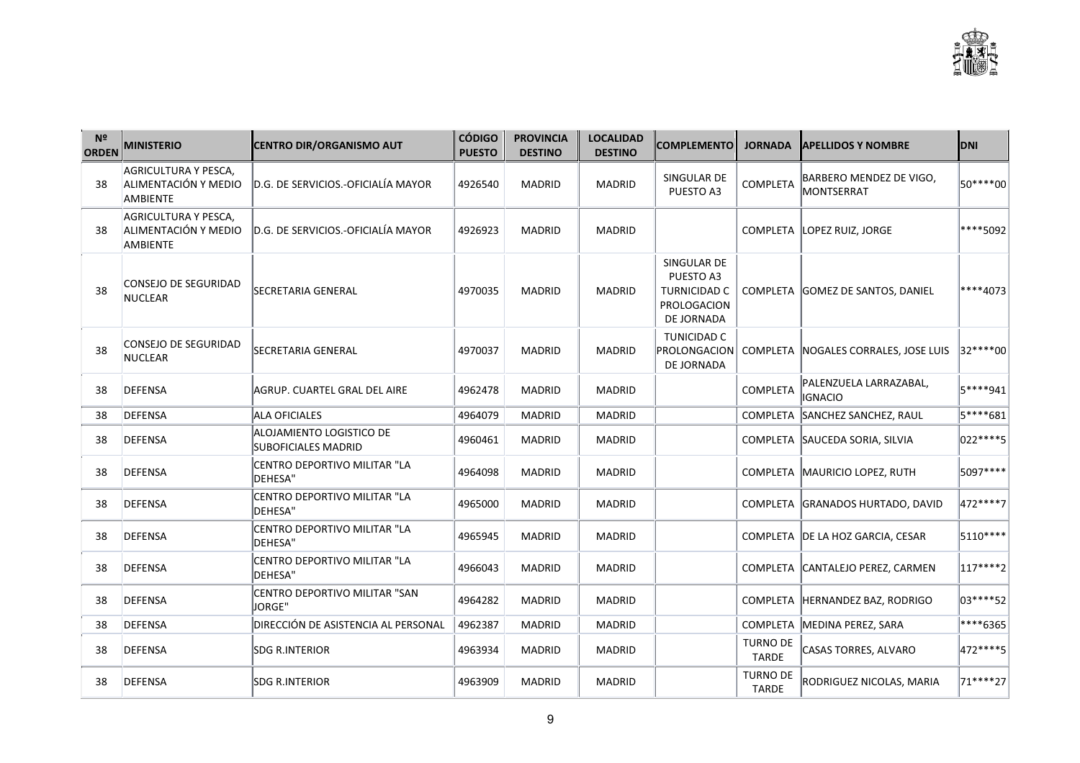| N <sup>2</sup><br><b>ORDEN</b> | <b>MINISTERIO</b>                                               | <b>CENTRO DIR/ORGANISMO AUT</b>                        | <b>CÓDIGO</b><br><b>PUESTO</b> | <b>PROVINCIA</b><br><b>DESTINO</b> | <b>LOCALIDAD</b><br><b>DESTINO</b> | <b>COMPLEMENTO</b>                                                           | <b>JORNADA</b>                  | <b>APELLIDOS Y NOMBRE</b>                         | <b>DNI</b>        |
|--------------------------------|-----------------------------------------------------------------|--------------------------------------------------------|--------------------------------|------------------------------------|------------------------------------|------------------------------------------------------------------------------|---------------------------------|---------------------------------------------------|-------------------|
| 38                             | AGRICULTURA Y PESCA,<br>ALIMENTACIÓN Y MEDIO<br><b>AMBIENTE</b> | D.G. DE SERVICIOS.-OFICIALÍA MAYOR                     | 4926540                        | <b>MADRID</b>                      | <b>MADRID</b>                      | SINGULAR DE<br>PUESTO A3                                                     | <b>COMPLETA</b>                 | BARBERO MENDEZ DE VIGO,<br>MONTSERRAT             | 50****00          |
| 38                             | AGRICULTURA Y PESCA,<br>ALIMENTACIÓN Y MEDIO<br>AMBIENTE        | D.G. DE SERVICIOS.-OFICIALÍA MAYOR                     | 4926923                        | <b>MADRID</b>                      | <b>MADRID</b>                      |                                                                              |                                 | COMPLETA LOPEZ RUIZ, JORGE                        | ****5092          |
| 38                             | CONSEJO DE SEGURIDAD<br><b>NUCLEAR</b>                          | <b>SECRETARIA GENERAL</b>                              | 4970035                        | <b>MADRID</b>                      | <b>MADRID</b>                      | SINGULAR DE<br>PUESTO A3<br><b>TURNICIDAD C</b><br>PROLOGACION<br>DE JORNADA |                                 | COMPLETA GOMEZ DE SANTOS, DANIEL                  | ****4073          |
| 38                             | CONSEJO DE SEGURIDAD<br><b>NUCLEAR</b>                          | <b>SECRETARIA GENERAL</b>                              | 4970037                        | <b>MADRID</b>                      | <b>MADRID</b>                      | <b>TUNICIDAD C</b><br>DE JORNADA                                             |                                 | PROLONGACION COMPLETA NOGALES CORRALES, JOSE LUIS | 32****00          |
| 38                             | <b>DEFENSA</b>                                                  | AGRUP. CUARTEL GRAL DEL AIRE                           | 4962478                        | <b>MADRID</b>                      | <b>MADRID</b>                      |                                                                              | <b>COMPLETA</b>                 | PALENZUELA LARRAZABAL,<br><b>IGNACIO</b>          | 5****941          |
| 38                             | DEFENSA                                                         | <b>ALA OFICIALES</b>                                   | 4964079                        | <b>MADRID</b>                      | <b>MADRID</b>                      |                                                                              |                                 | COMPLETA SANCHEZ SANCHEZ, RAUL                    | 5****681          |
| 38                             | DEFENSA                                                         | ALOJAMIENTO LOGISTICO DE<br><b>SUBOFICIALES MADRID</b> | 4960461                        | <b>MADRID</b>                      | <b>MADRID</b>                      |                                                                              |                                 | COMPLETA SAUCEDA SORIA, SILVIA                    | 022****5          |
| 38                             | DEFENSA                                                         | CENTRO DEPORTIVO MILITAR "LA<br>DEHESA"                | 4964098                        | <b>MADRID</b>                      | <b>MADRID</b>                      |                                                                              |                                 | COMPLETA MAURICIO LOPEZ, RUTH                     | 5097****          |
| 38                             | <b>DEFENSA</b>                                                  | CENTRO DEPORTIVO MILITAR "LA<br>DEHESA"                | 4965000                        | MADRID                             | <b>MADRID</b>                      |                                                                              |                                 | COMPLETA GRANADOS HURTADO, DAVID                  | 472 **** 7        |
| 38                             | <b>DEFENSA</b>                                                  | CENTRO DEPORTIVO MILITAR "LA<br>DEHESA"                | 4965945                        | <b>MADRID</b>                      | <b>MADRID</b>                      |                                                                              |                                 | COMPLETA DE LA HOZ GARCIA, CESAR                  | 5110****          |
| 38                             | <b>DEFENSA</b>                                                  | CENTRO DEPORTIVO MILITAR "LA<br>DEHESA"                | 4966043                        | <b>MADRID</b>                      | <b>MADRID</b>                      |                                                                              |                                 | COMPLETA CANTALEJO PEREZ, CARMEN                  | $ 117***2\rangle$ |
| 38                             | <b>DEFENSA</b>                                                  | CENTRO DEPORTIVO MILITAR "SAN<br><b>JORGE"</b>         | 4964282                        | <b>MADRID</b>                      | <b>MADRID</b>                      |                                                                              |                                 | COMPLETA HERNANDEZ BAZ, RODRIGO                   | 03****52          |
| 38                             | DEFENSA                                                         | DIRECCIÓN DE ASISTENCIA AL PERSONAL                    | 4962387                        | <b>MADRID</b>                      | <b>MADRID</b>                      |                                                                              |                                 | COMPLETA MEDINA PEREZ, SARA                       | ****6365          |
| 38                             | <b>DEFENSA</b>                                                  | <b>SDG R.INTERIOR</b>                                  | 4963934                        | <b>MADRID</b>                      | <b>MADRID</b>                      |                                                                              | <b>TURNO DE</b><br><b>TARDE</b> | CASAS TORRES, ALVARO                              | 472 **** 5        |
| 38                             | DEFENSA                                                         | <b>SDG R.INTERIOR</b>                                  | 4963909                        | MADRID                             | <b>MADRID</b>                      |                                                                              | <b>TURNO DE</b><br>TARDE        | RODRIGUEZ NICOLAS, MARIA                          | 71****27          |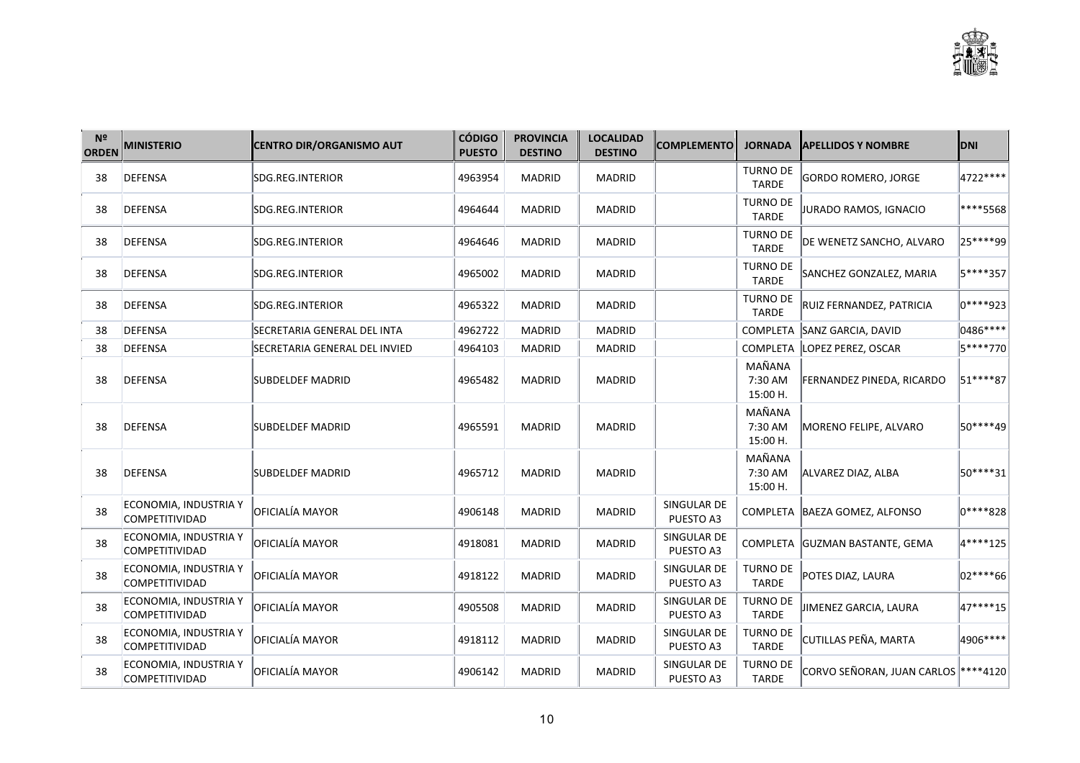

| N <sup>2</sup><br><b>ORDEN</b> | <b>MINISTERIO</b>                              | <b>CENTRO DIR/ORGANISMO AUT</b> | <b>CÓDIGO</b><br><b>PUESTO</b> | <b>PROVINCIA</b><br><b>DESTINO</b> | <b>LOCALIDAD</b><br><b>DESTINO</b> | <b>COMPLEMENTO</b>       | <b>JORNADA</b>                  | <b>APELLIDOS Y NOMBRE</b>            | <b>DNI</b> |
|--------------------------------|------------------------------------------------|---------------------------------|--------------------------------|------------------------------------|------------------------------------|--------------------------|---------------------------------|--------------------------------------|------------|
| 38                             | DEFENSA                                        | SDG.REG.INTERIOR                | 4963954                        | <b>MADRID</b>                      | <b>MADRID</b>                      |                          | <b>TURNO DE</b><br><b>TARDE</b> | GORDO ROMERO, JORGE                  | 4722****   |
| 38                             | <b>DEFENSA</b>                                 | SDG.REG.INTERIOR                | 4964644                        | <b>MADRID</b>                      | <b>MADRID</b>                      |                          | <b>TURNO DE</b><br>TARDE        | <b>JURADO RAMOS, IGNACIO</b>         | ****5568   |
| 38                             | DEFENSA                                        | SDG.REG.INTERIOR                | 4964646                        | <b>MADRID</b>                      | <b>MADRID</b>                      |                          | <b>TURNO DE</b><br>TARDE        | DE WENETZ SANCHO, ALVARO             | 25****99   |
| 38                             | DEFENSA                                        | SDG.REG.INTERIOR                | 4965002                        | <b>MADRID</b>                      | <b>MADRID</b>                      |                          | <b>TURNO DE</b><br><b>TARDE</b> | SANCHEZ GONZALEZ, MARIA              | 5****357   |
| 38                             | DEFENSA                                        | SDG.REG.INTERIOR                | 4965322                        | <b>MADRID</b>                      | <b>MADRID</b>                      |                          | <b>TURNO DE</b><br><b>TARDE</b> | RUIZ FERNANDEZ, PATRICIA             | 0****923   |
| 38                             | DEFENSA                                        | SECRETARIA GENERAL DEL INTA     | 4962722                        | <b>MADRID</b>                      | <b>MADRID</b>                      |                          |                                 | COMPLETA SANZ GARCIA, DAVID          | 0486****   |
| 38                             | DEFENSA                                        | SECRETARIA GENERAL DEL INVIED   | 4964103                        | <b>MADRID</b>                      | <b>MADRID</b>                      |                          |                                 | COMPLETA LOPEZ PEREZ, OSCAR          | 5****770   |
| 38                             | DEFENSA                                        | <b>SUBDELDEF MADRID</b>         | 4965482                        | <b>MADRID</b>                      | <b>MADRID</b>                      |                          | MAÑANA<br>7:30 AM<br>15:00 H.   | <b>FERNANDEZ PINEDA, RICARDO</b>     | 51****87   |
| 38                             | <b>DEFENSA</b>                                 | SUBDELDEF MADRID                | 4965591                        | <b>MADRID</b>                      | <b>MADRID</b>                      |                          | MAÑANA<br>7:30 AM<br>15:00 H.   | MORENO FELIPE, ALVARO                | 50****49   |
| 38                             | DEFENSA                                        | SUBDELDEF MADRID                | 4965712                        | <b>MADRID</b>                      | <b>MADRID</b>                      |                          | MAÑANA<br>7:30 AM<br>15:00 H.   | ALVAREZ DIAZ, ALBA                   | 50****31   |
| 38                             | ECONOMIA, INDUSTRIA Y<br><b>COMPETITIVIDAD</b> | OFICIALÍA MAYOR                 | 4906148                        | <b>MADRID</b>                      | <b>MADRID</b>                      | SINGULAR DE<br>PUESTO A3 |                                 | COMPLETA BAEZA GOMEZ, ALFONSO        | 0****828   |
| 38                             | ECONOMIA, INDUSTRIA Y<br><b>COMPETITIVIDAD</b> | OFICIALÍA MAYOR                 | 4918081                        | <b>MADRID</b>                      | <b>MADRID</b>                      | SINGULAR DE<br>PUESTO A3 |                                 | COMPLETA GUZMAN BASTANTE, GEMA       | 4****125   |
| 38                             | ECONOMIA, INDUSTRIA Y<br><b>COMPETITIVIDAD</b> | OFICIALÍA MAYOR                 | 4918122                        | <b>MADRID</b>                      | <b>MADRID</b>                      | SINGULAR DE<br>PUESTO A3 | <b>TURNO DE</b><br><b>TARDE</b> | POTES DIAZ, LAURA                    | 02****66   |
| 38                             | ECONOMIA, INDUSTRIA Y<br><b>COMPETITIVIDAD</b> | OFICIALÍA MAYOR                 | 4905508                        | MADRID                             | MADRID                             | SINGULAR DE<br>PUESTO A3 | <b>TURNO DE</b><br><b>TARDE</b> | JIMENEZ GARCIA, LAURA                | 47****15   |
| 38                             | ECONOMIA, INDUSTRIA Y<br><b>COMPETITIVIDAD</b> | OFICIALÍA MAYOR                 | 4918112                        | <b>MADRID</b>                      | <b>MADRID</b>                      | SINGULAR DE<br>PUESTO A3 | <b>TURNO DE</b><br>TARDE        | CUTILLAS PEÑA, MARTA                 | 4906****   |
| 38                             | ECONOMIA, INDUSTRIA Y<br><b>COMPETITIVIDAD</b> | OFICIALÍA MAYOR                 | 4906142                        | <b>MADRID</b>                      | <b>MADRID</b>                      | SINGULAR DE<br>PUESTO A3 | <b>TURNO DE</b><br><b>TARDE</b> | CORVO SEÑORAN, JUAN CARLOS  ****4120 |            |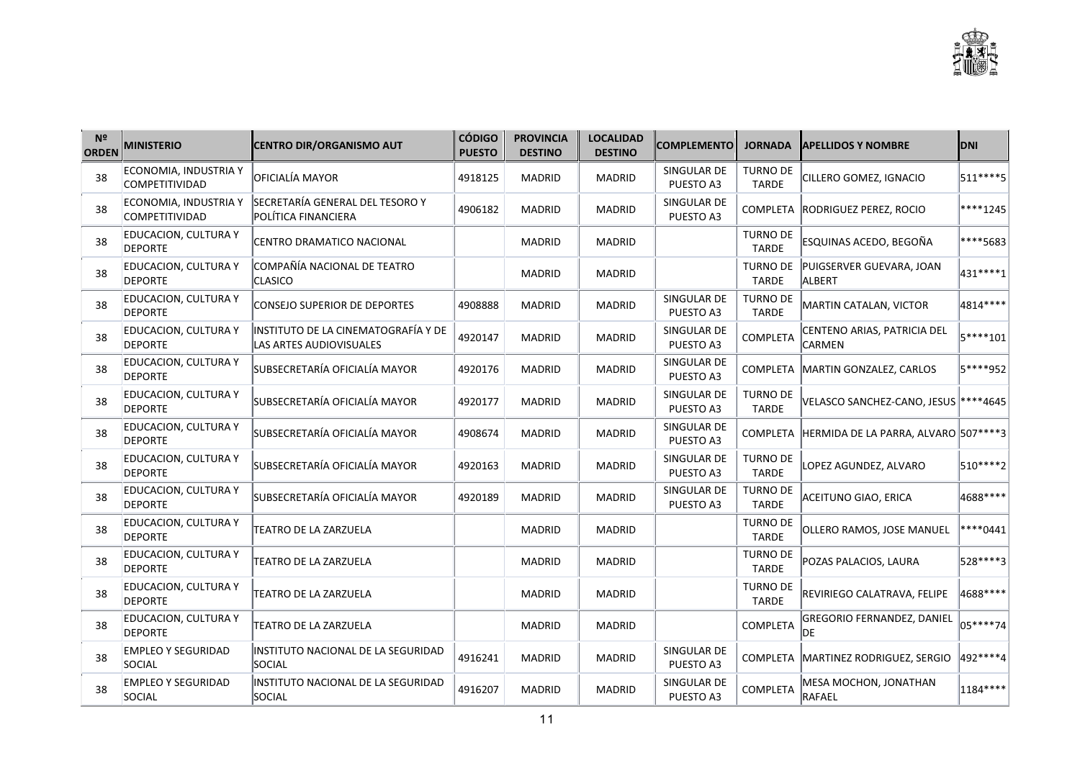| N <sup>2</sup><br><b>ORDEN</b> | <b>MINISTERIO</b>                              | <b>CENTRO DIR/ORGANISMO AUT</b>                                | <b>CÓDIGO</b><br><b>PUESTO</b> | <b>PROVINCIA</b><br><b>DESTINO</b> | <b>LOCALIDAD</b><br><b>DESTINO</b> | <b>COMPLEMENTO</b>       | <b>JORNADA</b>                  | <b>APELLIDOS Y NOMBRE</b>                       | <b>DNI</b>  |
|--------------------------------|------------------------------------------------|----------------------------------------------------------------|--------------------------------|------------------------------------|------------------------------------|--------------------------|---------------------------------|-------------------------------------------------|-------------|
| 38                             | ECONOMIA, INDUSTRIA Y<br><b>COMPETITIVIDAD</b> | OFICIALÍA MAYOR                                                | 4918125                        | <b>MADRID</b>                      | MADRID                             | SINGULAR DE<br>PUESTO A3 | <b>TURNO DE</b><br><b>TARDE</b> | CILLERO GOMEZ, IGNACIO                          | 511****5    |
| 38                             | ECONOMIA, INDUSTRIA Y<br>COMPETITIVIDAD        | SECRETARÍA GENERAL DEL TESORO Y<br>POLÍTICA FINANCIERA         | 4906182                        | <b>MADRID</b>                      | <b>MADRID</b>                      | SINGULAR DE<br>PUESTO A3 |                                 | COMPLETA RODRIGUEZ PEREZ, ROCIO                 | $ ***1245$  |
| 38                             | <b>EDUCACION, CULTURA Y</b><br><b>DEPORTE</b>  | CENTRO DRAMATICO NACIONAL                                      |                                | <b>MADRID</b>                      | <b>MADRID</b>                      |                          | <b>TURNO DE</b><br><b>TARDE</b> | ESQUINAS ACEDO, BEGOÑA                          | ****5683    |
| 38                             | <b>EDUCACION, CULTURA Y</b><br><b>DEPORTE</b>  | COMPAÑÍA NACIONAL DE TEATRO<br>CLASICO                         |                                | <b>MADRID</b>                      | <b>MADRID</b>                      |                          | TURNO DE<br><b>TARDE</b>        | PUIGSERVER GUEVARA, JOAN<br>ALBERT              | 431 ***** 1 |
| 38                             | <b>EDUCACION, CULTURA Y</b><br><b>DEPORTE</b>  | CONSEJO SUPERIOR DE DEPORTES                                   | 4908888                        | <b>MADRID</b>                      | <b>MADRID</b>                      | SINGULAR DE<br>PUESTO A3 | <b>TURNO DE</b><br><b>TARDE</b> | MARTIN CATALAN, VICTOR                          | 4814****    |
| 38                             | <b>EDUCACION, CULTURA Y</b><br><b>DEPORTE</b>  | INSTITUTO DE LA CINEMATOGRAFÍA Y DE<br>LAS ARTES AUDIOVISUALES | 4920147                        | <b>MADRID</b>                      | <b>MADRID</b>                      | SINGULAR DE<br>PUESTO A3 | COMPLETA                        | CENTENO ARIAS, PATRICIA DEL<br>CARMEN           | 5****101    |
| 38                             | <b>EDUCACION, CULTURA Y</b><br><b>DEPORTE</b>  | SUBSECRETARÍA OFICIALÍA MAYOR                                  | 4920176                        | <b>MADRID</b>                      | <b>MADRID</b>                      | SINGULAR DE<br>PUESTO A3 |                                 | COMPLETA MARTIN GONZALEZ, CARLOS                | 5****952    |
| 38                             | <b>EDUCACION, CULTURA Y</b><br><b>DEPORTE</b>  | SUBSECRETARÍA OFICIALÍA MAYOR                                  | 4920177                        | <b>MADRID</b>                      | MADRID                             | SINGULAR DE<br>PUESTO A3 | <b>TURNO DE</b><br><b>TARDE</b> | VELASCO SANCHEZ-CANO, JESUS   **** 4645         |             |
| 38                             | <b>EDUCACION, CULTURA Y</b><br><b>DEPORTE</b>  | SUBSECRETARÍA OFICIALÍA MAYOR                                  | 4908674                        | <b>MADRID</b>                      | <b>MADRID</b>                      | SINGULAR DE<br>PUESTO A3 |                                 | COMPLETA   HERMIDA DE LA PARRA, ALVARO 507****3 |             |
| 38                             | <b>EDUCACION, CULTURA Y</b><br><b>DEPORTE</b>  | SUBSECRETARÍA OFICIALÍA MAYOR                                  | 4920163                        | <b>MADRID</b>                      | <b>MADRID</b>                      | SINGULAR DE<br>PUESTO A3 | <b>TURNO DE</b><br><b>TARDE</b> | LOPEZ AGUNDEZ. ALVARO                           | $ 510***2 $ |
| 38                             | <b>EDUCACION, CULTURA Y</b><br><b>DEPORTE</b>  | SUBSECRETARÍA OFICIALÍA MAYOR                                  | 4920189                        | <b>MADRID</b>                      | MADRID                             | SINGULAR DE<br>PUESTO A3 | <b>TURNO DE</b><br><b>TARDE</b> | ACEITUNO GIAO, ERICA                            | 4688****    |
| 38                             | <b>EDUCACION, CULTURA Y</b><br><b>DEPORTE</b>  | TEATRO DE LA ZARZUELA                                          |                                | <b>MADRID</b>                      | MADRID                             |                          | TURNO DE<br><b>TARDE</b>        | OLLERO RAMOS, JOSE MANUEL                       | $ ***0441$  |
| 38                             | <b>EDUCACION, CULTURA Y</b><br><b>DEPORTE</b>  | <b>TEATRO DE LA ZARZUELA</b>                                   |                                | <b>MADRID</b>                      | <b>MADRID</b>                      |                          | TURNO DE<br><b>TARDE</b>        | POZAS PALACIOS, LAURA                           | 528****3    |
| 38                             | <b>EDUCACION, CULTURA Y</b><br><b>DEPORTE</b>  | <b>TEATRO DE LA ZARZUELA</b>                                   |                                | <b>MADRID</b>                      | <b>MADRID</b>                      |                          | <b>TURNO DE</b><br><b>TARDE</b> | REVIRIEGO CALATRAVA, FELIPE                     | 4688****    |
| 38                             | <b>EDUCACION, CULTURA Y</b><br><b>DEPORTE</b>  | <b>TEATRO DE LA ZARZUELA</b>                                   |                                | <b>MADRID</b>                      | MADRID                             |                          | COMPLETA                        | <b>GREGORIO FERNANDEZ, DANIEL</b><br><b>IDE</b> | $05***74$   |
| 38                             | <b>EMPLEO Y SEGURIDAD</b><br>SOCIAL            | INSTITUTO NACIONAL DE LA SEGURIDAD<br>SOCIAL                   | 4916241                        | <b>MADRID</b>                      | <b>MADRID</b>                      | SINGULAR DE<br>PUESTO A3 |                                 | COMPLETA MARTINEZ RODRIGUEZ, SERGIO             | 492 **** 4  |
| 38                             | <b>EMPLEO Y SEGURIDAD</b><br>SOCIAL            | INSTITUTO NACIONAL DE LA SEGURIDAD<br>SOCIAL                   | 4916207                        | <b>MADRID</b>                      | <b>MADRID</b>                      | SINGULAR DE<br>PUESTO A3 | <b>COMPLETA</b>                 | MESA MOCHON, JONATHAN<br>RAFAEL                 | $ 1184*** $ |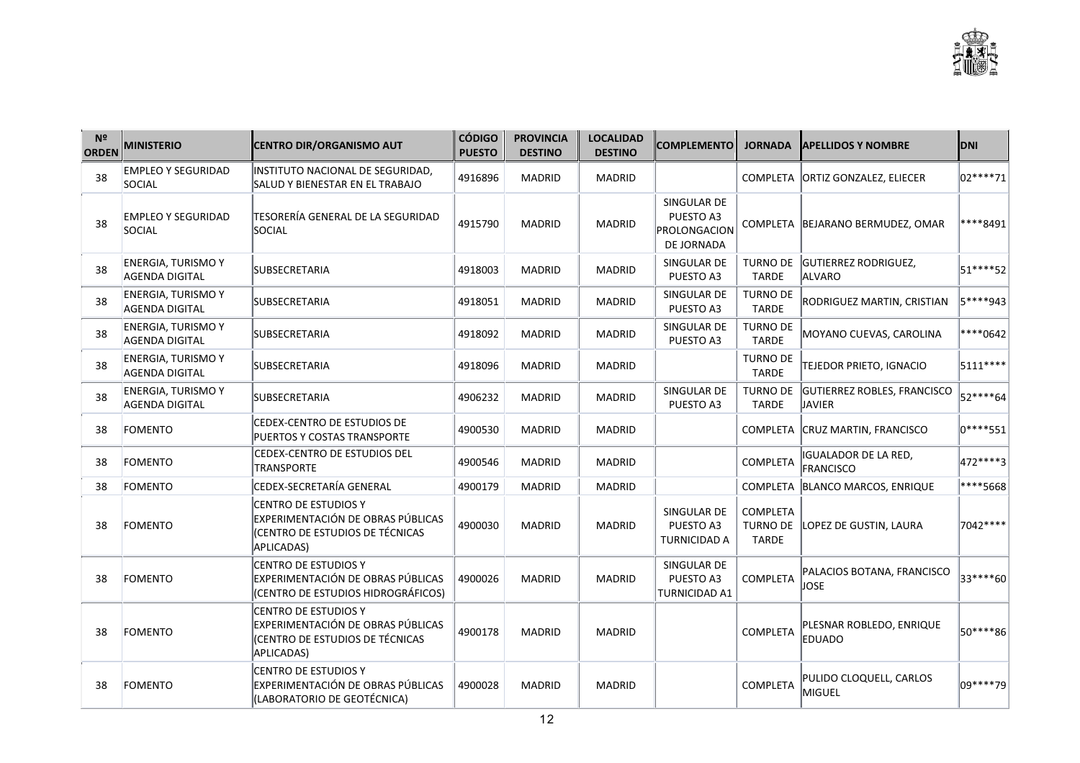| N <sup>2</sup><br><b>ORDEN</b> | <b>MINISTERIO</b>                           | <b>CENTRO DIR/ORGANISMO AUT</b>                                                                                   | <b>CÓDIGO</b><br><b>PUESTO</b> | <b>PROVINCIA</b><br><b>DESTINO</b> | <b>LOCALIDAD</b><br><b>DESTINO</b> | <b>COMPLEMENTO</b>                                            | <b>JORNADA</b>                  | <b>APELLIDOS Y NOMBRE</b>                      | <b>DNI</b>   |
|--------------------------------|---------------------------------------------|-------------------------------------------------------------------------------------------------------------------|--------------------------------|------------------------------------|------------------------------------|---------------------------------------------------------------|---------------------------------|------------------------------------------------|--------------|
| 38                             | <b>EMPLEO Y SEGURIDAD</b><br>SOCIAL         | INSTITUTO NACIONAL DE SEGURIDAD,<br>SALUD Y BIENESTAR EN EL TRABAJO                                               | 4916896                        | <b>MADRID</b>                      | <b>MADRID</b>                      |                                                               |                                 | COMPLETA ORTIZ GONZALEZ, ELIECER               | $ 02****71$  |
| 38                             | <b>EMPLEO Y SEGURIDAD</b><br>SOCIAL         | TESORERÍA GENERAL DE LA SEGURIDAD<br>SOCIAL                                                                       | 4915790                        | <b>MADRID</b>                      | <b>MADRID</b>                      | SINGULAR DE<br>PUESTO A3<br><b>PROLONGACION</b><br>DE JORNADA |                                 | COMPLETA BEJARANO BERMUDEZ, OMAR               | ****8491     |
| 38                             | <b>ENERGIA, TURISMO Y</b><br>AGENDA DIGITAL | SUBSECRETARIA                                                                                                     | 4918003                        | <b>MADRID</b>                      | <b>MADRID</b>                      | SINGULAR DE<br>PUESTO A3                                      | <b>TARDE</b>                    | TURNO DE GUTIERREZ RODRIGUEZ,<br><b>ALVARO</b> | 51****52     |
| 38                             | <b>ENERGIA, TURISMO Y</b><br>AGENDA DIGITAL | SUBSECRETARIA                                                                                                     | 4918051                        | <b>MADRID</b>                      | MADRID                             | SINGULAR DE<br>PUESTO A3                                      | <b>TURNO DE</b><br><b>TARDE</b> | RODRIGUEZ MARTIN, CRISTIAN                     | 5****943     |
| 38                             | <b>ENERGIA, TURISMO Y</b><br>AGENDA DIGITAL | <b>SUBSECRETARIA</b>                                                                                              | 4918092                        | <b>MADRID</b>                      | <b>MADRID</b>                      | SINGULAR DE<br>PUESTO A3                                      | <b>TURNO DE</b><br><b>TARDE</b> | MOYANO CUEVAS, CAROLINA                        | ****0642     |
| 38                             | <b>ENERGIA, TURISMO Y</b><br>AGENDA DIGITAL | <b>SUBSECRETARIA</b>                                                                                              | 4918096                        | <b>MADRID</b>                      | <b>MADRID</b>                      |                                                               | <b>TURNO DE</b><br><b>TARDE</b> | TEJEDOR PRIETO, IGNACIO                        | 5111****     |
| 38                             | <b>ENERGIA, TURISMO Y</b><br>AGENDA DIGITAL | SUBSECRETARIA                                                                                                     | 4906232                        | <b>MADRID</b>                      | MADRID                             | SINGULAR DE<br>PUESTO A3                                      | <b>TURNO DE</b><br><b>TARDE</b> | GUTIERREZ ROBLES, FRANCISCO<br>JAVIER          | 52****64     |
| 38                             | FOMENTO                                     | <b>CEDEX-CENTRO DE ESTUDIOS DE</b><br>PUERTOS Y COSTAS TRANSPORTE                                                 | 4900530                        | <b>MADRID</b>                      | <b>MADRID</b>                      |                                                               |                                 | COMPLETA CRUZ MARTIN, FRANCISCO                | $ 0***$ *551 |
| 38                             | <b>FOMENTO</b>                              | CEDEX-CENTRO DE ESTUDIOS DEL<br><b>TRANSPORTE</b>                                                                 | 4900546                        | <b>MADRID</b>                      | <b>MADRID</b>                      |                                                               | COMPLETA                        | IGUALADOR DE LA RED,<br>FRANCISCO              | 472****3     |
| 38                             | FOMENTO                                     | CEDEX-SECRETARÍA GENERAL                                                                                          | 4900179                        | <b>MADRID</b>                      | <b>MADRID</b>                      |                                                               |                                 | COMPLETA BLANCO MARCOS, ENRIQUE                | ****5668     |
| 38                             | <b>FOMENTO</b>                              | <b>CENTRO DE ESTUDIOS Y</b><br>EXPERIMENTACIÓN DE OBRAS PÚBLICAS<br>(CENTRO DE ESTUDIOS DE TÉCNICAS<br>APLICADAS) | 4900030                        | <b>MADRID</b>                      | <b>MADRID</b>                      | SINGULAR DE<br>PUESTO A3<br><b>TURNICIDAD A</b>               | <b>COMPLETA</b><br><b>TARDE</b> | TURNO DE LOPEZ DE GUSTIN, LAURA                | 7042 ****    |
| 38                             | FOMENTO                                     | <b>CENTRO DE ESTUDIOS Y</b><br>EXPERIMENTACIÓN DE OBRAS PÚBLICAS<br>(CENTRO DE ESTUDIOS HIDROGRÁFICOS)            | 4900026                        | <b>MADRID</b>                      | <b>MADRID</b>                      | SINGULAR DE<br>PUESTO A3<br><b>TURNICIDAD A1</b>              | COMPLETA                        | PALACIOS BOTANA, FRANCISCO<br><b>JOSE</b>      | 33****60     |
| 38                             | FOMENTO                                     | <b>CENTRO DE ESTUDIOS Y</b><br>EXPERIMENTACIÓN DE OBRAS PÚBLICAS<br>(CENTRO DE ESTUDIOS DE TÉCNICAS<br>APLICADAS) | 4900178                        | <b>MADRID</b>                      | <b>MADRID</b>                      |                                                               | COMPLETA                        | PLESNAR ROBLEDO, ENRIQUE<br>EDUADO             | 50****86     |
| 38                             | <b>FOMENTO</b>                              | CENTRO DE ESTUDIOS Y<br>EXPERIMENTACIÓN DE OBRAS PÚBLICAS<br>(LABORATORIO DE GEOTÉCNICA)                          | 4900028                        | <b>MADRID</b>                      | <b>MADRID</b>                      |                                                               | <b>COMPLETA</b>                 | PULIDO CLOQUELL, CARLOS<br><b>MIGUEL</b>       | 09****79     |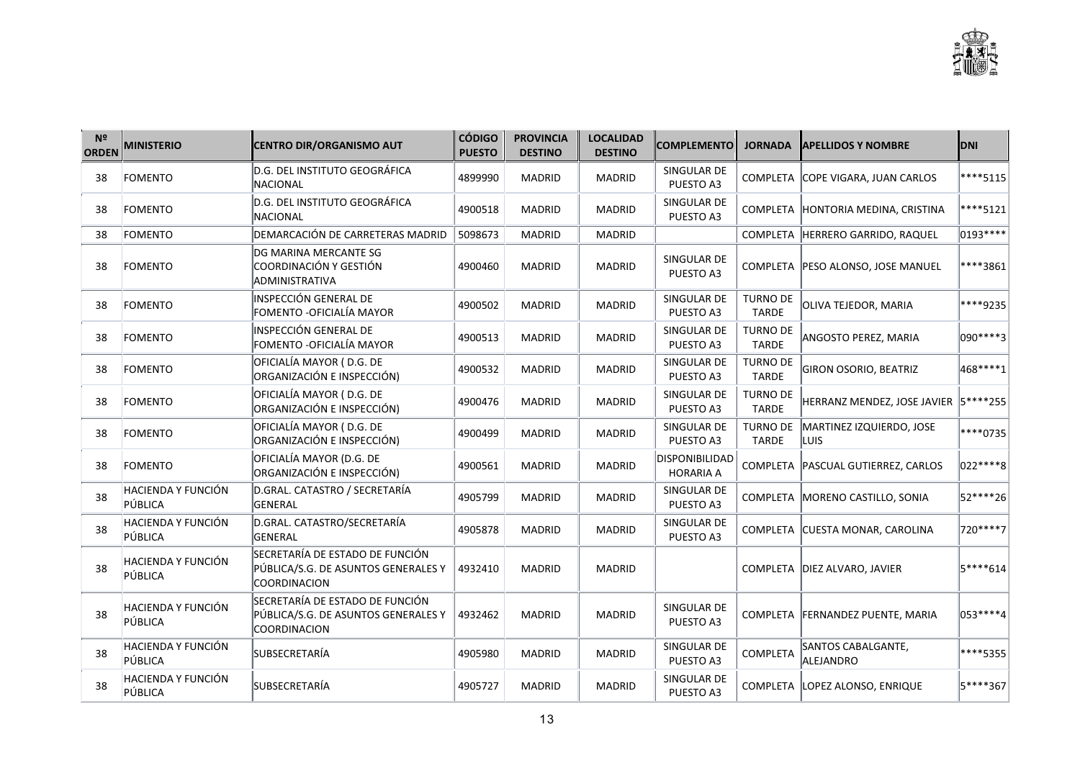| N <sup>2</sup><br><b>ORDEN</b> | <b>MINISTERIO</b>             | <b>CENTRO DIR/ORGANISMO AUT</b>                                                        | <b>CÓDIGO</b><br><b>PUESTO</b> | <b>PROVINCIA</b><br><b>DESTINO</b> | <b>LOCALIDAD</b><br><b>DESTINO</b> | <b>COMPLEMENTO</b>                        | <b>JORNADA</b>                  | <b>APELLIDOS Y NOMBRE</b>                        | <b>DNI</b>  |
|--------------------------------|-------------------------------|----------------------------------------------------------------------------------------|--------------------------------|------------------------------------|------------------------------------|-------------------------------------------|---------------------------------|--------------------------------------------------|-------------|
| 38                             | FOMENTO                       | D.G. DEL INSTITUTO GEOGRÁFICA<br>NACIONAL                                              | 4899990                        | <b>MADRID</b>                      | <b>MADRID</b>                      | SINGULAR DE<br>PUESTO A3                  |                                 | COMPLETA COPE VIGARA, JUAN CARLOS                | $ ***5115 $ |
| 38                             | FOMENTO                       | D.G. DEL INSTITUTO GEOGRÁFICA<br>NACIONAL                                              | 4900518                        | <b>MADRID</b>                      | <b>MADRID</b>                      | SINGULAR DE<br>PUESTO A3                  |                                 | COMPLETA HONTORIA MEDINA, CRISTINA               | $ ***5121 $ |
| 38                             | FOMENTO                       | DEMARCACIÓN DE CARRETERAS MADRID                                                       | 5098673                        | <b>MADRID</b>                      | <b>MADRID</b>                      |                                           |                                 | COMPLETA   HERRERO GARRIDO, RAQUEL               | 0193****    |
| 38                             | FOMENTO                       | DG MARINA MERCANTE SG<br>COORDINACIÓN Y GESTIÓN<br>ADMINISTRATIVA                      | 4900460                        | <b>MADRID</b>                      | <b>MADRID</b>                      | SINGULAR DE<br>PUESTO A3                  |                                 | COMPLETA   PESO ALONSO, JOSE MANUEL              | ****3861    |
| 38                             | FOMENTO                       | INSPECCIÓN GENERAL DE<br>FOMENTO -OFICIALÍA MAYOR                                      | 4900502                        | MADRID                             | <b>MADRID</b>                      | SINGULAR DE<br>PUESTO A3                  | <b>TURNO DE</b><br><b>TARDE</b> | OLIVA TEJEDOR, MARIA                             | ****9235    |
| 38                             | FOMENTO                       | INSPECCIÓN GENERAL DE<br>FOMENTO -OFICIALÍA MAYOR                                      | 4900513                        | <b>MADRID</b>                      | <b>MADRID</b>                      | SINGULAR DE<br>PUESTO A3                  | <b>TURNO DE</b><br><b>TARDE</b> | ANGOSTO PEREZ, MARIA                             | 090****3    |
| 38                             | FOMENTO                       | OFICIALÍA MAYOR (D.G. DE<br>ORGANIZACIÓN E INSPECCIÓN)                                 | 4900532                        | <b>MADRID</b>                      | <b>MADRID</b>                      | SINGULAR DE<br>PUESTO A3                  | <b>TURNO DE</b><br><b>TARDE</b> | <b>GIRON OSORIO, BEATRIZ</b>                     | 468****1    |
| 38                             | FOMENTO                       | OFICIALÍA MAYOR (D.G. DE<br>ORGANIZACIÓN E INSPECCIÓN)                                 | 4900476                        | <b>MADRID</b>                      | <b>MADRID</b>                      | SINGULAR DE<br>PUESTO A3                  | <b>TURNO DE</b><br><b>TARDE</b> | HERRANZ MENDEZ, JOSE JAVIER 5 **** 255           |             |
| 38                             | FOMENTO                       | OFICIALÍA MAYOR (D.G. DE<br>ORGANIZACIÓN E INSPECCIÓN)                                 | 4900499                        | <b>MADRID</b>                      | MADRID                             | SINGULAR DE<br>PUESTO A3                  | <b>TARDE</b>                    | TURNO DE MARTINEZ IZQUIERDO, JOSE<br><b>LUIS</b> | ****0735    |
| 38                             | FOMENTO                       | OFICIALÍA MAYOR (D.G. DE<br>ORGANIZACIÓN E INSPECCIÓN)                                 | 4900561                        | <b>MADRID</b>                      | <b>MADRID</b>                      | <b>DISPONIBILIDAD</b><br><b>HORARIA A</b> |                                 | COMPLETA   PASCUAL GUTIERREZ, CARLOS             | 022 **** 8  |
| 38                             | HACIENDA Y FUNCIÓN<br>PÚBLICA | D.GRAL. CATASTRO / SECRETARÍA<br>GENERAL                                               | 4905799                        | MADRID                             | <b>MADRID</b>                      | SINGULAR DE<br>PUESTO A3                  |                                 | COMPLETA MORENO CASTILLO, SONIA                  | 52****26    |
| 38                             | HACIENDA Y FUNCIÓN<br>PÚBLICA | D.GRAL. CATASTRO/SECRETARÍA<br>GENERAL                                                 | 4905878                        | <b>MADRID</b>                      | <b>MADRID</b>                      | SINGULAR DE<br>PUESTO A3                  |                                 | COMPLETA CUESTA MONAR, CAROLINA                  | 720****7    |
| 38                             | HACIENDA Y FUNCIÓN<br>PÚBLICA | SECRETARÍA DE ESTADO DE FUNCIÓN<br>PÚBLICA/S.G. DE ASUNTOS GENERALES Y<br>COORDINACION | 4932410                        | <b>MADRID</b>                      | <b>MADRID</b>                      |                                           |                                 | COMPLETA DIEZ ALVARO, JAVIER                     | 5****614    |
| 38                             | HACIENDA Y FUNCIÓN<br>PÚBLICA | SECRETARÍA DE ESTADO DE FUNCIÓN<br>PÚBLICA/S.G. DE ASUNTOS GENERALES Y<br>COORDINACION | 4932462                        | <b>MADRID</b>                      | <b>MADRID</b>                      | SINGULAR DE<br>PUESTO A3                  |                                 | COMPLETA FERNANDEZ PUENTE, MARIA                 | 053****4    |
| 38                             | HACIENDA Y FUNCIÓN<br>PÚBLICA | SUBSECRETARÍA                                                                          | 4905980                        | <b>MADRID</b>                      | <b>MADRID</b>                      | SINGULAR DE<br>PUESTO A3                  | COMPLETA                        | SANTOS CABALGANTE,<br>ALEJANDRO                  | ****5355    |
| 38                             | HACIENDA Y FUNCIÓN<br>PÚBLICA | SUBSECRETARÍA                                                                          | 4905727                        | <b>MADRID</b>                      | <b>MADRID</b>                      | SINGULAR DE<br>PUESTO A3                  |                                 | COMPLETA LOPEZ ALONSO, ENRIQUE                   | 5****367    |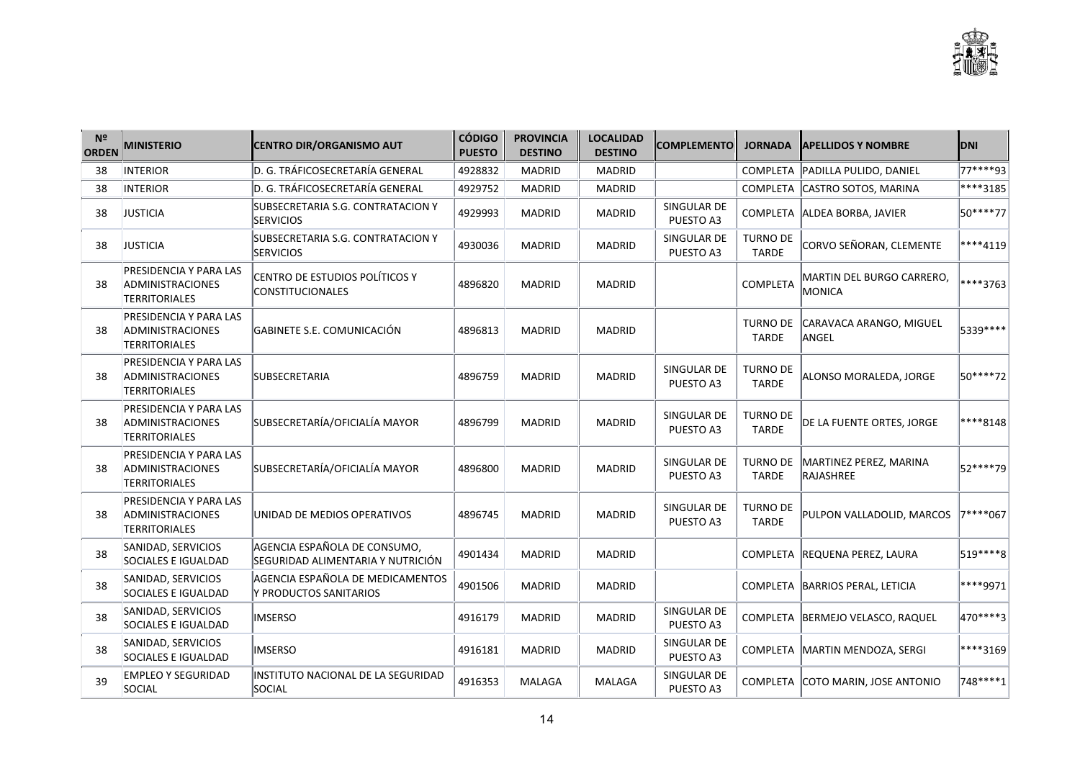

| N <sup>2</sup><br><b>ORDEN</b> | <b>MINISTERIO</b>                                                         | <b>CENTRO DIR/ORGANISMO AUT</b>                                   | <b>CÓDIGO</b><br><b>PUESTO</b> | <b>PROVINCIA</b><br><b>DESTINO</b> | <b>LOCALIDAD</b><br><b>DESTINO</b> | <b>COMPLEMENTO</b>       | <b>JORNADA</b>                  | <b>APELLIDOS Y NOMBRE</b>                  | <b>DNI</b> |
|--------------------------------|---------------------------------------------------------------------------|-------------------------------------------------------------------|--------------------------------|------------------------------------|------------------------------------|--------------------------|---------------------------------|--------------------------------------------|------------|
| 38                             | <b>INTERIOR</b>                                                           | D. G. TRÁFICOSECRETARÍA GENERAL                                   | 4928832                        | <b>MADRID</b>                      | <b>MADRID</b>                      |                          |                                 | COMPLETA PADILLA PULIDO, DANIEL            | 77****93   |
| 38                             | <b>INTERIOR</b>                                                           | D. G. TRÁFICOSECRETARÍA GENERAL                                   | 4929752                        | <b>MADRID</b>                      | <b>MADRID</b>                      |                          |                                 | COMPLETA CASTRO SOTOS, MARINA              | ****3185   |
| 38                             | <b>JUSTICIA</b>                                                           | SUBSECRETARIA S.G. CONTRATACION Y<br><b>SERVICIOS</b>             | 4929993                        | <b>MADRID</b>                      | <b>MADRID</b>                      | SINGULAR DE<br>PUESTO A3 |                                 | COMPLETA ALDEA BORBA, JAVIER               | 50****77   |
| 38                             | <b>JUSTICIA</b>                                                           | SUBSECRETARIA S.G. CONTRATACION Y<br><b>SERVICIOS</b>             | 4930036                        | <b>MADRID</b>                      | <b>MADRID</b>                      | SINGULAR DE<br>PUESTO A3 | <b>TURNO DE</b><br><b>TARDE</b> | CORVO SEÑORAN, CLEMENTE                    | ****4119   |
| 38                             | <b>PRESIDENCIA Y PARA LAS</b><br>ADMINISTRACIONES<br><b>TERRITORIALES</b> | CENTRO DE ESTUDIOS POLÍTICOS Y<br><b>CONSTITUCIONALES</b>         | 4896820                        | <b>MADRID</b>                      | <b>MADRID</b>                      |                          | COMPLETA                        | <b>MARTIN DEL BURGO CARRERO.</b><br>MONICA | ****3763   |
| 38                             | PRESIDENCIA Y PARA LAS<br>ADMINISTRACIONES<br><b>TERRITORIALES</b>        | GABINETE S.E. COMUNICACIÓN                                        | 4896813                        | <b>MADRID</b>                      | <b>MADRID</b>                      |                          | <b>TURNO DE</b><br><b>TARDE</b> | CARAVACA ARANGO, MIGUEL<br>ANGEL           | 5339 ****  |
| 38                             | <b>PRESIDENCIA Y PARA LAS</b><br>ADMINISTRACIONES<br><b>TERRITORIALES</b> | <b>SUBSECRETARIA</b>                                              | 4896759                        | <b>MADRID</b>                      | <b>MADRID</b>                      | SINGULAR DE<br>PUESTO A3 | <b>TURNO DE</b><br><b>TARDE</b> | ALONSO MORALEDA, JORGE                     | 50****72   |
| 38                             | <b>PRESIDENCIA Y PARA LAS</b><br>ADMINISTRACIONES<br>TERRITORIALES        | SUBSECRETARÍA/OFICIALÍA MAYOR                                     | 4896799                        | <b>MADRID</b>                      | <b>MADRID</b>                      | SINGULAR DE<br>PUESTO A3 | <b>TURNO DE</b><br><b>TARDE</b> | DE LA FUENTE ORTES, JORGE                  | ****8148   |
| 38                             | <b>PRESIDENCIA Y PARA LAS</b><br>ADMINISTRACIONES<br>TERRITORIALES        | SUBSECRETARÍA/OFICIALÍA MAYOR                                     | 4896800                        | <b>MADRID</b>                      | <b>MADRID</b>                      | SINGULAR DE<br>PUESTO A3 | <b>TURNO DE</b><br><b>TARDE</b> | MARTINEZ PEREZ, MARINA<br>RAJASHREE        | 52****79   |
| 38                             | <b>PRESIDENCIA Y PARA LAS</b><br>ADMINISTRACIONES<br><b>TERRITORIALES</b> | UNIDAD DE MEDIOS OPERATIVOS                                       | 4896745                        | <b>MADRID</b>                      | <b>MADRID</b>                      | SINGULAR DE<br>PUESTO A3 | <b>TURNO DE</b><br><b>TARDE</b> | PULPON VALLADOLID, MARCOS                  | 7****067   |
| 38                             | SANIDAD, SERVICIOS<br>SOCIALES E IGUALDAD                                 | AGENCIA ESPAÑOLA DE CONSUMO,<br>SEGURIDAD ALIMENTARIA Y NUTRICIÓN | 4901434                        | <b>MADRID</b>                      | <b>MADRID</b>                      |                          | <b>COMPLETA</b>                 | <b>REQUENA PEREZ, LAURA</b>                | 519 **** 8 |
| 38                             | SANIDAD, SERVICIOS<br>SOCIALES E IGUALDAD                                 | AGENCIA ESPAÑOLA DE MEDICAMENTOS<br>Y PRODUCTOS SANITARIOS        | 4901506                        | <b>MADRID</b>                      | <b>MADRID</b>                      |                          | <b>COMPLETA</b>                 | BARRIOS PERAL, LETICIA                     | ****9971   |
| 38                             | SANIDAD, SERVICIOS<br>SOCIALES E IGUALDAD                                 | <b>IMSERSO</b>                                                    | 4916179                        | <b>MADRID</b>                      | <b>MADRID</b>                      | SINGULAR DE<br>PUESTO A3 |                                 | COMPLETA BERMEJO VELASCO, RAQUEL           | 470 **** 3 |
| 38                             | SANIDAD, SERVICIOS<br>SOCIALES E IGUALDAD                                 | <b>IMSERSO</b>                                                    | 4916181                        | <b>MADRID</b>                      | <b>MADRID</b>                      | SINGULAR DE<br>PUESTO A3 |                                 | COMPLETA MARTIN MENDOZA, SERGI             | ****3169   |
| 39                             | <b>EMPLEO Y SEGURIDAD</b><br>SOCIAL                                       | INSTITUTO NACIONAL DE LA SEGURIDAD<br>SOCIAL                      | 4916353                        | MALAGA                             | MALAGA                             | SINGULAR DE<br>PUESTO A3 |                                 | COMPLETA COTO MARIN, JOSE ANTONIO          | 748****1   |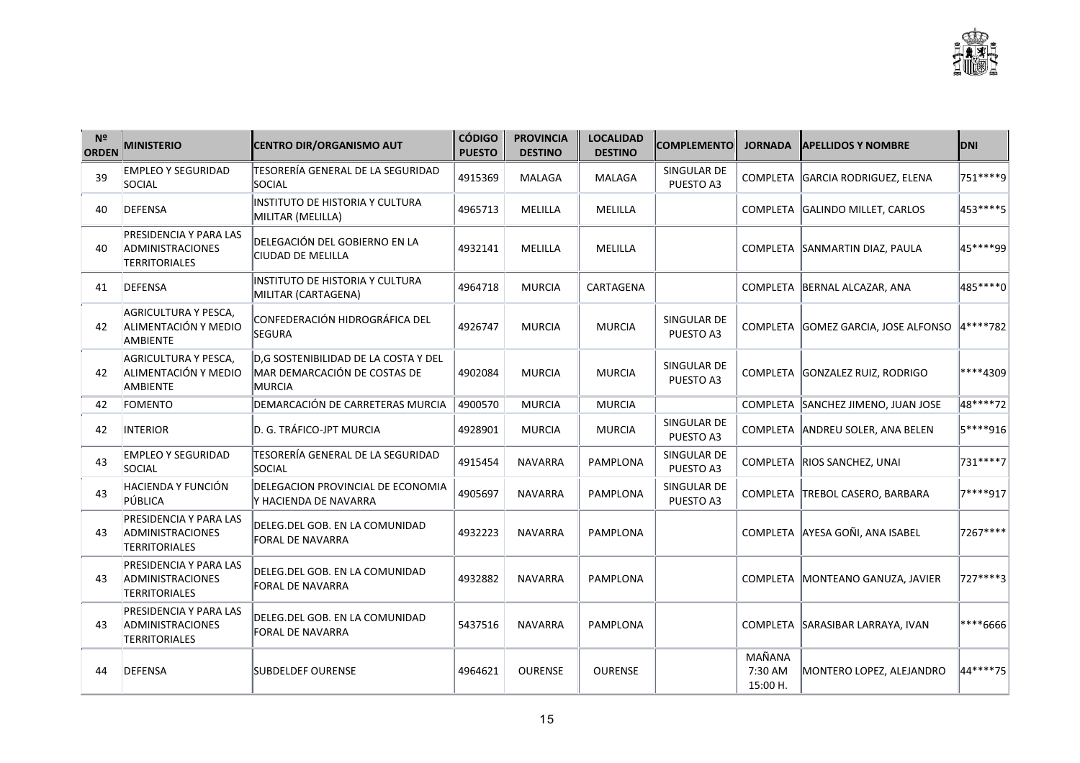| N <sup>2</sup><br><b>ORDEN</b> | <b>MINISTERIO</b>                                                         | <b>CENTRO DIR/ORGANISMO AUT</b>                                                | <b>CÓDIGO</b><br><b>PUESTO</b> | <b>PROVINCIA</b><br><b>DESTINO</b> | <b>LOCALIDAD</b><br><b>DESTINO</b> | <b>COMPLEMENTO</b>       | <b>JORNADA</b>                | <b>APELLIDOS Y NOMBRE</b>           | <b>DNI</b> |
|--------------------------------|---------------------------------------------------------------------------|--------------------------------------------------------------------------------|--------------------------------|------------------------------------|------------------------------------|--------------------------|-------------------------------|-------------------------------------|------------|
| 39                             | <b>EMPLEO Y SEGURIDAD</b><br>SOCIAL                                       | TESORERÍA GENERAL DE LA SEGURIDAD<br>SOCIAL                                    | 4915369                        | MALAGA                             | MALAGA                             | SINGULAR DE<br>PUESTO A3 |                               | COMPLETA GARCIA RODRIGUEZ, ELENA    | 751 **** 9 |
| 40                             | <b>DEFENSA</b>                                                            | INSTITUTO DE HISTORIA Y CULTURA<br>MILITAR (MELILLA)                           | 4965713                        | MELILLA                            | MELILLA                            |                          |                               | COMPLETA GALINDO MILLET, CARLOS     | 453****5   |
| 40                             | PRESIDENCIA Y PARA LAS<br>ADMINISTRACIONES<br><b>TERRITORIALES</b>        | DELEGACIÓN DEL GOBIERNO EN LA<br>CIUDAD DE MELILLA                             | 4932141                        | MELILLA                            | MELILLA                            |                          |                               | COMPLETA SANMARTIN DIAZ, PAULA      | 45****99   |
| 41                             | <b>DEFENSA</b>                                                            | INSTITUTO DE HISTORIA Y CULTURA<br>MILITAR (CARTAGENA)                         | 4964718                        | <b>MURCIA</b>                      | CARTAGENA                          |                          |                               | COMPLETA BERNAL ALCAZAR, ANA        | 485****0   |
| 42                             | AGRICULTURA Y PESCA,<br>ALIMENTACIÓN Y MEDIO<br>AMBIENTE                  | CONFEDERACIÓN HIDROGRÁFICA DEL<br>SEGURA                                       | 4926747                        | <b>MURCIA</b>                      | <b>MURCIA</b>                      | SINGULAR DE<br>PUESTO A3 |                               | COMPLETA GOMEZ GARCIA, JOSE ALFONSO | 4****782   |
| 42                             | AGRICULTURA Y PESCA,<br>ALIMENTACIÓN Y MEDIO<br>AMBIENTE                  | D,G SOSTENIBILIDAD DE LA COSTA Y DEL<br>MAR DEMARCACIÓN DE COSTAS DE<br>MURCIA | 4902084                        | <b>MURCIA</b>                      | <b>MURCIA</b>                      | SINGULAR DE<br>PUESTO A3 |                               | COMPLETA GONZALEZ RUIZ, RODRIGO     | ****4309   |
| 42                             | FOMENTO                                                                   | DEMARCACIÓN DE CARRETERAS MURCIA                                               | 4900570                        | <b>MURCIA</b>                      | <b>MURCIA</b>                      |                          |                               | COMPLETA SANCHEZ JIMENO, JUAN JOSE  | 48****72   |
| 42                             | <b>INTERIOR</b>                                                           | D. G. TRÁFICO-JPT MURCIA                                                       | 4928901                        | <b>MURCIA</b>                      | <b>MURCIA</b>                      | SINGULAR DE<br>PUESTO A3 |                               | COMPLETA ANDREU SOLER, ANA BELEN    | 5****916   |
| 43                             | <b>EMPLEO Y SEGURIDAD</b><br>SOCIAL                                       | TESORERÍA GENERAL DE LA SEGURIDAD<br>SOCIAL                                    | 4915454                        | <b>NAVARRA</b>                     | <b>PAMPLONA</b>                    | SINGULAR DE<br>PUESTO A3 |                               | COMPLETA RIOS SANCHEZ, UNAI         | 731 **** 7 |
| 43                             | HACIENDA Y FUNCIÓN<br>PÚBLICA                                             | DELEGACION PROVINCIAL DE ECONOMIA<br>Y HACIENDA DE NAVARRA                     | 4905697                        | <b>NAVARRA</b>                     | PAMPLONA                           | SINGULAR DE<br>PUESTO A3 |                               | COMPLETA TREBOL CASERO, BARBARA     | 7****917   |
| 43                             | PRESIDENCIA Y PARA LAS<br>ADMINISTRACIONES<br><b>TERRITORIALES</b>        | DELEG.DEL GOB. EN LA COMUNIDAD<br>FORAL DE NAVARRA                             | 4932223                        | <b>NAVARRA</b>                     | PAMPLONA                           |                          |                               | COMPLETA AYESA GOÑI. ANA ISABEL     | 7267****   |
| 43                             | <b>PRESIDENCIA Y PARA LAS</b><br>ADMINISTRACIONES<br><b>TERRITORIALES</b> | DELEG.DEL GOB. EN LA COMUNIDAD<br>FORAL DE NAVARRA                             | 4932882                        | <b>NAVARRA</b>                     | <b>PAMPLONA</b>                    |                          |                               | COMPLETA MONTEANO GANUZA, JAVIER    | 727****3   |
| 43                             | <b>PRESIDENCIA Y PARA LAS</b><br>ADMINISTRACIONES<br>TERRITORIALES        | DELEG.DEL GOB. EN LA COMUNIDAD<br>FORAL DE NAVARRA                             | 5437516                        | <b>NAVARRA</b>                     | <b>PAMPLONA</b>                    |                          |                               | COMPLETA SARASIBAR LARRAYA, IVAN    | ****6666   |
| 44                             | <b>DEFENSA</b>                                                            | <b>SUBDELDEF OURENSE</b>                                                       | 4964621                        | <b>OURENSE</b>                     | <b>OURENSE</b>                     |                          | MAÑANA<br>7:30 AM<br>15:00 H. | MONTERO LOPEZ, ALEJANDRO            | 44****75   |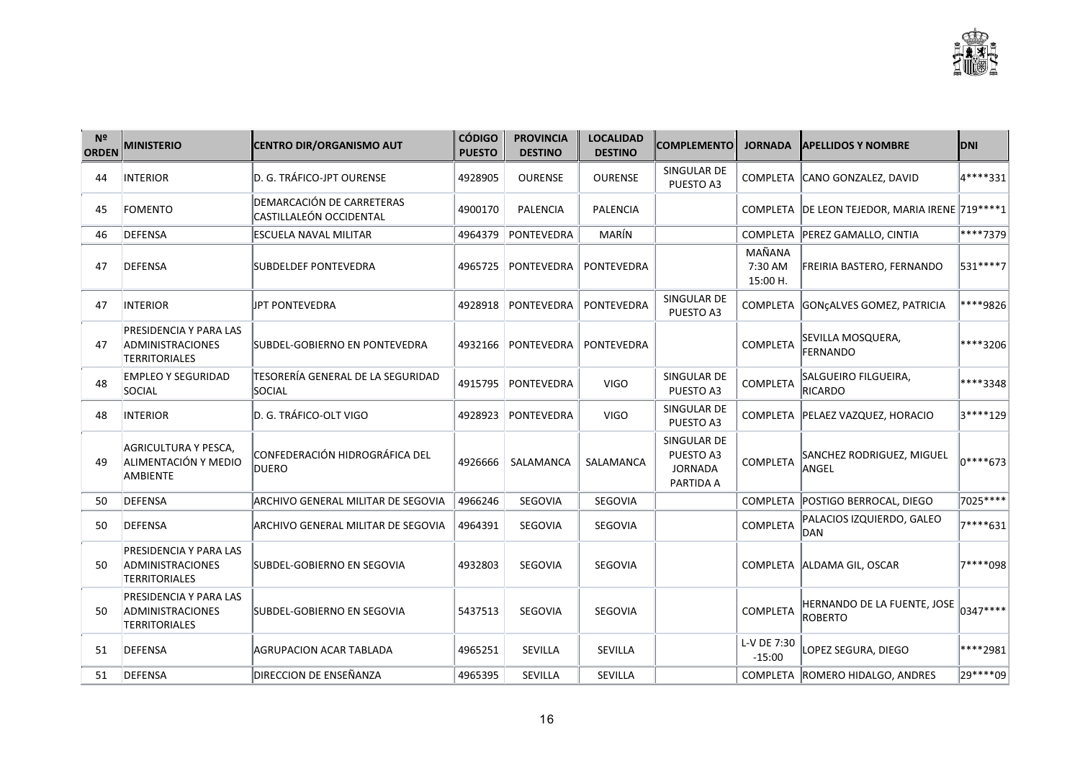

| N <sup>2</sup><br><b>ORDEN</b> | <b>MINISTERIO</b>                                                  | <b>CENTRO DIR/ORGANISMO AUT</b>                      | <b>CÓDIGO</b><br><b>PUESTO</b> | <b>PROVINCIA</b><br><b>DESTINO</b> | <b>LOCALIDAD</b><br><b>DESTINO</b> | <b>COMPLEMENTO</b>                                      | <b>JORNADA</b>                | <b>APELLIDOS Y NOMBRE</b>                                                    | <b>DNI</b>        |
|--------------------------------|--------------------------------------------------------------------|------------------------------------------------------|--------------------------------|------------------------------------|------------------------------------|---------------------------------------------------------|-------------------------------|------------------------------------------------------------------------------|-------------------|
| 44                             | INTERIOR                                                           | D. G. TRÁFICO-JPT OURENSE                            | 4928905                        | <b>OURENSE</b>                     | <b>OURENSE</b>                     | SINGULAR DE<br>PUESTO A3                                |                               | COMPLETA CANO GONZALEZ, DAVID                                                | 4****331          |
| 45                             | FOMENTO                                                            | DEMARCACIÓN DE CARRETERAS<br>CASTILLALEÓN OCCIDENTAL | 4900170                        | <b>PALENCIA</b>                    | <b>PALENCIA</b>                    |                                                         |                               | COMPLETA   DE LEON TEJEDOR, MARIA IRENE   719 **** 1                         |                   |
| 46                             | DEFENSA                                                            | ESCUELA NAVAL MILITAR                                | 4964379                        | PONTEVEDRA                         | MARÍN                              |                                                         |                               | COMPLETA PEREZ GAMALLO, CINTIA                                               | ****7379          |
| 47                             | <b>DEFENSA</b>                                                     | SUBDELDEF PONTEVEDRA                                 | 4965725                        | PONTEVEDRA                         | <b>PONTEVEDRA</b>                  |                                                         | MAÑANA<br>7:30 AM<br>15:00 H. | FREIRIA BASTERO, FERNANDO                                                    | 531 **** 7        |
| 47                             | <b>INTERIOR</b>                                                    | JPT PONTEVEDRA                                       | 4928918                        | <b>PONTEVEDRA</b>                  | <b>PONTEVEDRA</b>                  | SINGULAR DE<br>PUESTO A3                                |                               | COMPLETA GONCALVES GOMEZ, PATRICIA                                           | ****9826          |
| 47                             | PRESIDENCIA Y PARA LAS<br>ADMINISTRACIONES<br><b>TERRITORIALES</b> | SUBDEL-GOBIERNO EN PONTEVEDRA                        | 4932166                        | <b>PONTEVEDRA</b>                  | <b>PONTEVEDRA</b>                  |                                                         | COMPLETA                      | SEVILLA MOSQUERA,<br><b>FERNANDO</b>                                         | ****3206          |
| 48                             | <b>EMPLEO Y SEGURIDAD</b><br>SOCIAL                                | TESORERÍA GENERAL DE LA SEGURIDAD<br><b>SOCIAL</b>   | 4915795                        | PONTEVEDRA                         | <b>VIGO</b>                        | SINGULAR DE<br>PUESTO A3                                | COMPLETA                      | SALGUEIRO FILGUEIRA,<br>RICARDO                                              | ****3348          |
| 48                             | <b>INTERIOR</b>                                                    | D. G. TRÁFICO-OLT VIGO                               | 4928923                        | PONTEVEDRA                         | <b>VIGO</b>                        | SINGULAR DE<br>PUESTO A3                                |                               | COMPLETA   PELAEZ VAZQUEZ, HORACIO                                           | 3****129          |
| 49                             | AGRICULTURA Y PESCA,<br>ALIMENTACIÓN Y MEDIO<br><b>AMBIENTE</b>    | CONFEDERACIÓN HIDROGRÁFICA DEL<br>DUERO              | 4926666                        | SALAMANCA                          | SALAMANCA                          | SINGULAR DE<br>PUESTO A3<br><b>JORNADA</b><br>PARTIDA A | COMPLETA                      | SANCHEZ RODRIGUEZ, MIGUEL<br>ANGEL                                           | $\vert_{0***673}$ |
| 50                             | <b>DEFENSA</b>                                                     | ARCHIVO GENERAL MILITAR DE SEGOVIA                   | 4966246                        | <b>SEGOVIA</b>                     | SEGOVIA                            |                                                         |                               | COMPLETA   POSTIGO BERROCAL, DIEGO                                           | 7025 ****         |
| 50                             | DEFENSA                                                            | ARCHIVO GENERAL MILITAR DE SEGOVIA                   | 4964391                        | <b>SEGOVIA</b>                     | SEGOVIA                            |                                                         | COMPLETA                      | PALACIOS IZQUIERDO, GALEO<br>DAN                                             | 7****631          |
| 50                             | <b>PRESIDENCIA Y PARA LAS</b><br>ADMINISTRACIONES<br>TERRITORIALES | SUBDEL-GOBIERNO EN SEGOVIA                           | 4932803                        | <b>SEGOVIA</b>                     | SEGOVIA                            |                                                         |                               | COMPLETA ALDAMA GIL, OSCAR                                                   | 7****098          |
| 50                             | PRESIDENCIA Y PARA LAS<br>ADMINISTRACIONES<br><b>TERRITORIALES</b> | SUBDEL-GOBIERNO EN SEGOVIA                           | 5437513                        | SEGOVIA                            | SEGOVIA                            |                                                         | COMPLETA                      | $\big $ HERNANDO DE LA FUENTE, JOSE $\big _{0347***}\big $<br><b>ROBERTO</b> |                   |
| 51                             | DEFENSA                                                            | AGRUPACION ACAR TABLADA                              | 4965251                        | SEVILLA                            | SEVILLA                            |                                                         | L-V DE 7:30<br>$-15:00$       | LOPEZ SEGURA, DIEGO                                                          | ****2981          |
| 51                             | DEFENSA                                                            | <b>DIRECCION DE ENSEÑANZA</b>                        | 4965395                        | SEVILLA                            | SEVILLA                            |                                                         |                               | COMPLETA ROMERO HIDALGO, ANDRES                                              | 29****09          |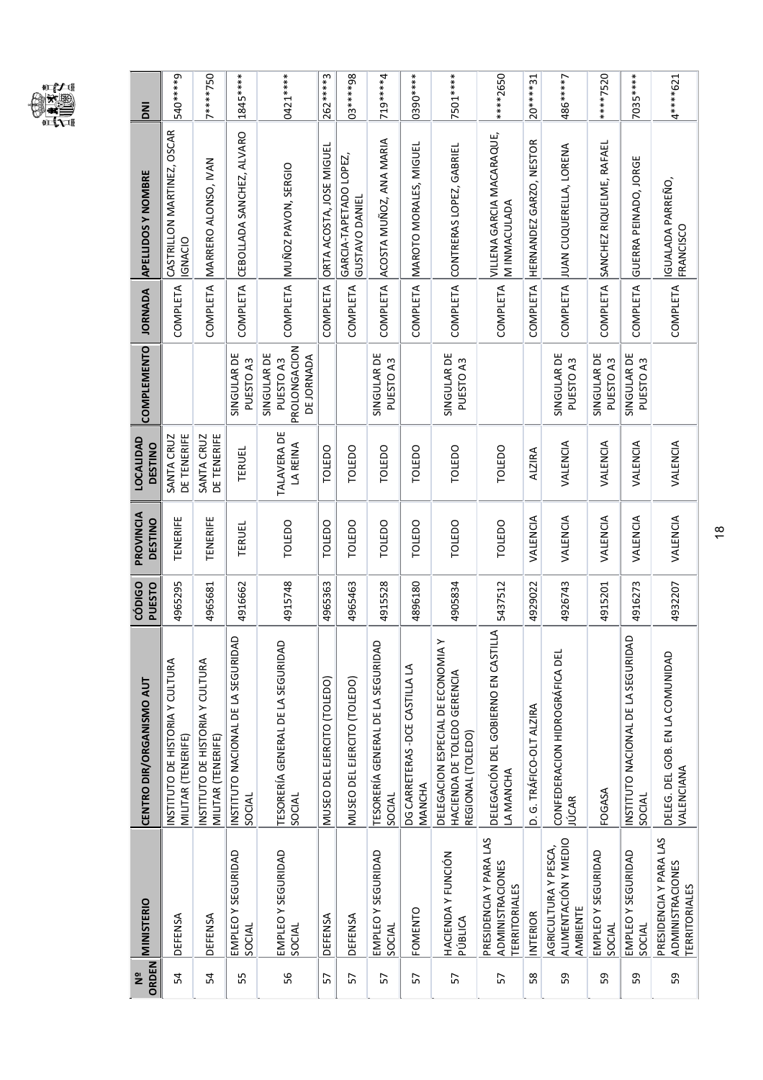

| ΣŌ                              | 540****9                                              | 7****750                                              | 1845*****                                    | 0421 *****                                             | 262****3                    | 03*****98                                | 719****4                                    | 0390 *****                                | 7501*****                                                                             | *****2650                                                                 | $20****31$               | 486****7                                                 | ****7520                     | 7035*****                                    | 4****621                                                                  |
|---------------------------------|-------------------------------------------------------|-------------------------------------------------------|----------------------------------------------|--------------------------------------------------------|-----------------------------|------------------------------------------|---------------------------------------------|-------------------------------------------|---------------------------------------------------------------------------------------|---------------------------------------------------------------------------|--------------------------|----------------------------------------------------------|------------------------------|----------------------------------------------|---------------------------------------------------------------------------|
| <b>APELLIDOS Y NOMBRE</b>       | CASTRILLON MARTINEZ, OSCAR<br><b>IGNACIO</b>          | MARRERO ALONSO, IVAN                                  | CEBOLLADA SANCHEZ, ALVARO                    | MUÑOZ PAVON, SERGIO                                    | ORTA ACOSTA, JOSE MIGUEL    | GARCIA-TAPETADO LOPEZ,<br>GUSTAVO DANIEI | ACOSTA MUÑOZ, ANA MARIA                     | MAROTO MORALES, MIGUEI                    | CONTRERAS LOPEZ, GABRIEL                                                              | VILLENA GARCIA MACARAQUE,<br>M INMACULADA                                 | HERNANDEZ GARZO, NESTOR  | JUAN CUQUERELLA, LORENA                                  | SANCHEZ RIQUELME, RAFAEL     | GUERRA PEINADO, JORGE                        | IGUALADA PARREÑO,<br>FRANCISCO                                            |
| <b>JORNADA</b>                  | COMPLETA                                              | COMPLETA                                              | <b>COMPLETA</b>                              | <b>COMPLETA</b>                                        | <b>COMPLETA</b>             | COMPLETA                                 | <b>COMPLETA</b>                             | COMPLETA                                  | <b>COMPLETA</b>                                                                       | COMPLETA                                                                  | <b>COMPLETA</b>          | COMPLETA                                                 | <b>COMPLETA</b>              | COMPLETA                                     | COMPLETA                                                                  |
| COMPLEMENTO                     |                                                       |                                                       | SINGULAR DE<br>PUESTO A3                     | PROLONGACION<br>SINGULAR DE<br>DE JORNADA<br>PUESTO A3 |                             |                                          | SINGULAR DE<br>PUESTO <sub>A3</sub>         |                                           | SINGULAR DE<br>PUESTO <sub>A3</sub>                                                   |                                                                           |                          | SINGULAR DE<br>PUESTO A3                                 | SINGULAR DE<br>PUESTO A3     | SINGULAR DE<br>PUESTO A3                     |                                                                           |
| LOCALIDAD<br><b>DESTINO</b>     | DE TENERIFE<br>SANTA CRUZ                             | DE TENERIFE<br>SANTA CRUZ                             | TERUEL                                       | <b>TALAVERA DE</b><br>LA REINA                         | TOLEDO                      | <b>TOLEDO</b>                            | TOLEDO                                      | TOLEDO                                    | TOLEDO                                                                                | <b>TOLEDO</b>                                                             | <b>ALZIRA</b>            | VALENCIA                                                 | VALENCIA                     | VALENCIA                                     | VALENCIA                                                                  |
| PROVINCIA<br><b>DESTINO</b>     | TENERIFE                                              | TENERIFE                                              | TERUEL                                       | <b>TOLEDO</b>                                          | TOLEDO                      | TOLEDO                                   | TOLEDO                                      | TOLEDO                                    | <b>TOLEDO</b>                                                                         | TOLEDO                                                                    | VALENCIA                 | VALENCIA                                                 | VALENCIA                     | VALENCIA                                     | VALENCIA                                                                  |
| PUESTO<br>CÓDIGO                | 4965295                                               | 4965681                                               | 4916662                                      | 4915748                                                | 4965363                     | 4965463                                  | 4915528                                     | 4896180                                   | 4905834                                                                               | 5437512                                                                   | 4929022                  | 4926743                                                  | 4915201                      | 4916273                                      | 4932207                                                                   |
| <b>CENTRO DIR/ORGANISMO AUT</b> | INSTITUTO DE HISTORIA Y CULTURA<br>MILITAR (TENERIFE) | INSTITUTO DE HISTORIA Y CULTURA<br>MILITAR (TENERIFE) | INSTITUTO NACIONAL DE LA SEGURIDAD<br>SOCIAL | TESORERÍA GENERAL DE LA SEGURIDAD<br>SOCIAL            | MUSEO DEL EJERCITO (TOLEDO) | MUSEO DEL EJERCITO (TOLEDO)              | TESORERÍA GENERAL DE LA SEGURIDAD<br>SOCIAL | DG CARRETERAS - DCE CASTILLA LA<br>MANCHA | DELEGACION ESPECIAL DE ECONOMIA Y<br>HACIENDA DE TOLEDO GERENCIA<br>REGIONAL (TOLEDO) | ₹<br>DELEGACIÓN DEL GOBIERNO EN CASTIL<br>LA MANCHA                       | D. G. TRÁFICO-OLT ALZIRA | CONFEDERACION HIDROGRÁFICA DEL<br><b>JÚCAR</b>           | FOGASA                       | INSTITUTO NACIONAL DE LA SEGURIDAD<br>SOCIAL | DELEG. DEL GOB. EN LA COMUNIDAD<br>VALENCIANA                             |
| <b>MINISTERIO</b>               | DEFENSA                                               | DEFENSA                                               | EMPLEO Y SEGURIDAD<br>SOCIAL                 | EMPLEO Y SEGURIDAD<br>SOCIAL                           | DEFENSA                     | DEFENSA                                  | EMPLEO Y SEGURIDAD<br>SOCIAL                | <b>FOMENTO</b>                            | HACIENDA Y FUNCIÓN<br>PÚBLICA                                                         | PRESIDENCIA Y PARA LAS<br><b>ADMINISTRACIONES</b><br><b>TERRITORIALES</b> | <b>INTERIOR</b>          | ALIMENTACIÓN Y MEDIO<br>AGRICULTURA Y PESCA,<br>AMBIENTE | EMPLEO Y SEGURIDAD<br>SOCIAL | EMPLEO Y SEGURIDAD<br>SOCIAL                 | PRESIDENCIA Y PARA LAS<br><b>ADMINISTRACIONES</b><br><b>TERRITORIALES</b> |
| ORDEN<br>ុម<br>ក្ន              | 54                                                    | 54                                                    | 55                                           | 99                                                     | 57                          | 57                                       | 57                                          | 57                                        | 57                                                                                    | 57                                                                        | 58                       | 59                                                       | 59                           | 59                                           | 59                                                                        |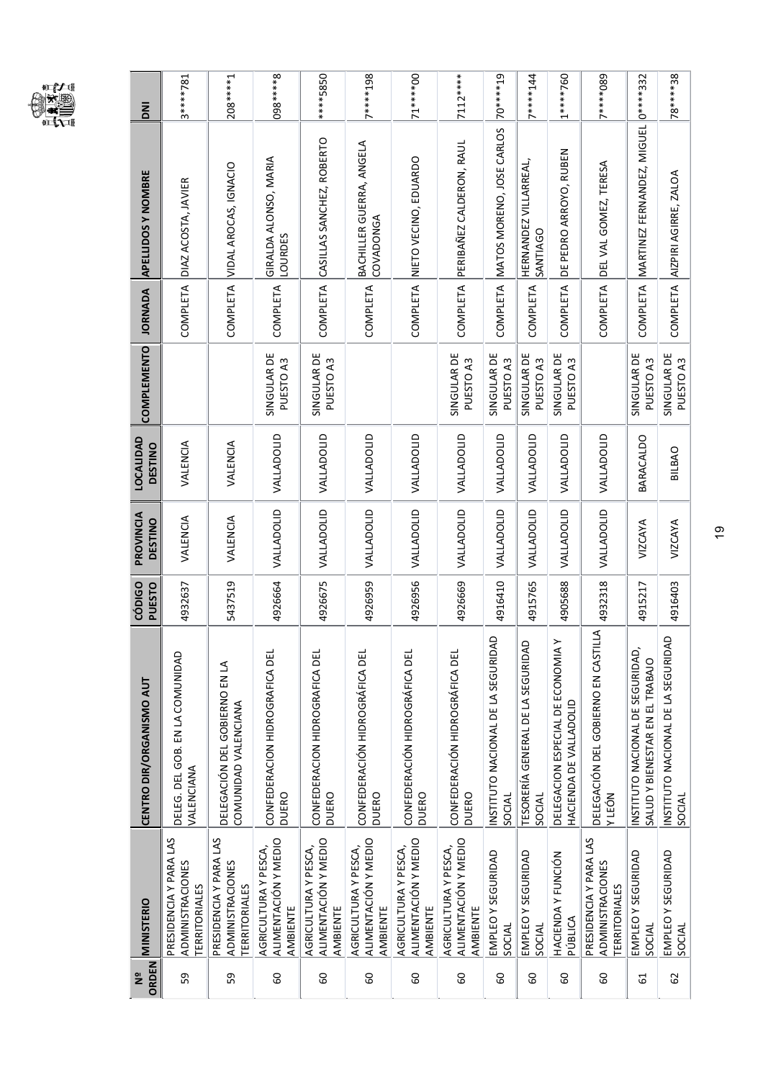

19